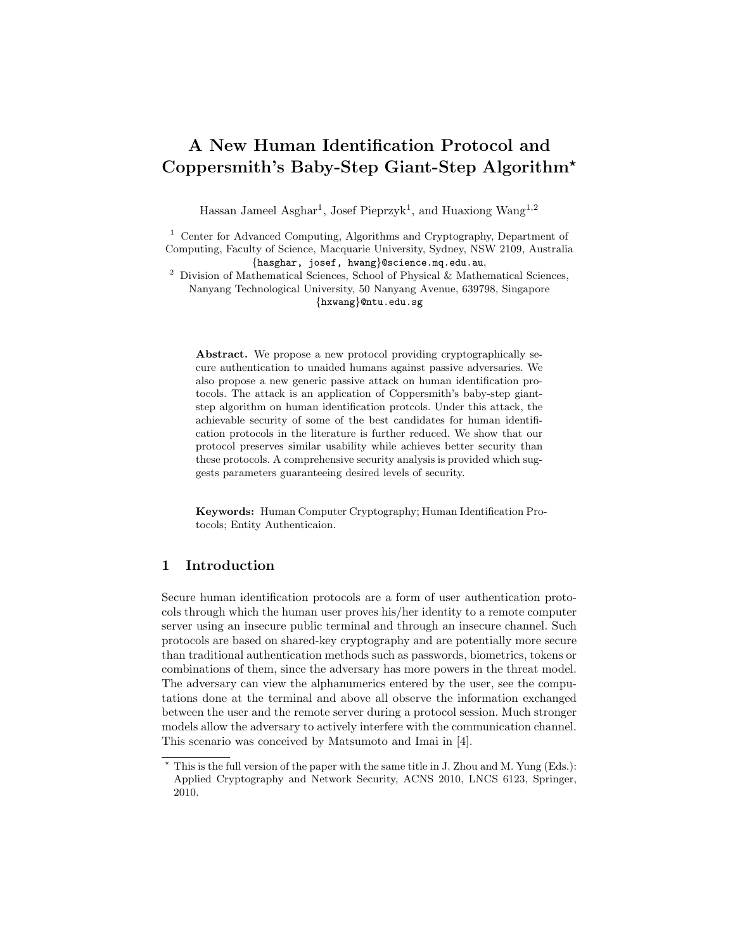# A New Human Identification Protocol and Coppersmith's Baby-Step Giant-Step Algorithm?

Hassan Jameel Asghar<sup>1</sup>, Josef Pieprzyk<sup>1</sup>, and Huaxiong Wang<sup>1,2</sup>

<sup>1</sup> Center for Advanced Computing, Algorithms and Cryptography, Department of Computing, Faculty of Science, Macquarie University, Sydney, NSW 2109, Australia {hasghar, josef, hwang}@science.mq.edu.au,

<sup>2</sup> Division of Mathematical Sciences, School of Physical & Mathematical Sciences, Nanyang Technological University, 50 Nanyang Avenue, 639798, Singapore {hxwang}@ntu.edu.sg

Abstract. We propose a new protocol providing cryptographically secure authentication to unaided humans against passive adversaries. We also propose a new generic passive attack on human identification protocols. The attack is an application of Coppersmith's baby-step giantstep algorithm on human identification protcols. Under this attack, the achievable security of some of the best candidates for human identification protocols in the literature is further reduced. We show that our protocol preserves similar usability while achieves better security than these protocols. A comprehensive security analysis is provided which suggests parameters guaranteeing desired levels of security.

Keywords: Human Computer Cryptography; Human Identification Protocols; Entity Authenticaion.

# 1 Introduction

Secure human identification protocols are a form of user authentication protocols through which the human user proves his/her identity to a remote computer server using an insecure public terminal and through an insecure channel. Such protocols are based on shared-key cryptography and are potentially more secure than traditional authentication methods such as passwords, biometrics, tokens or combinations of them, since the adversary has more powers in the threat model. The adversary can view the alphanumerics entered by the user, see the computations done at the terminal and above all observe the information exchanged between the user and the remote server during a protocol session. Much stronger models allow the adversary to actively interfere with the communication channel. This scenario was conceived by Matsumoto and Imai in [4].

<sup>?</sup> This is the full version of the paper with the same title in J. Zhou and M. Yung (Eds.): Applied Cryptography and Network Security, ACNS 2010, LNCS 6123, Springer, 2010.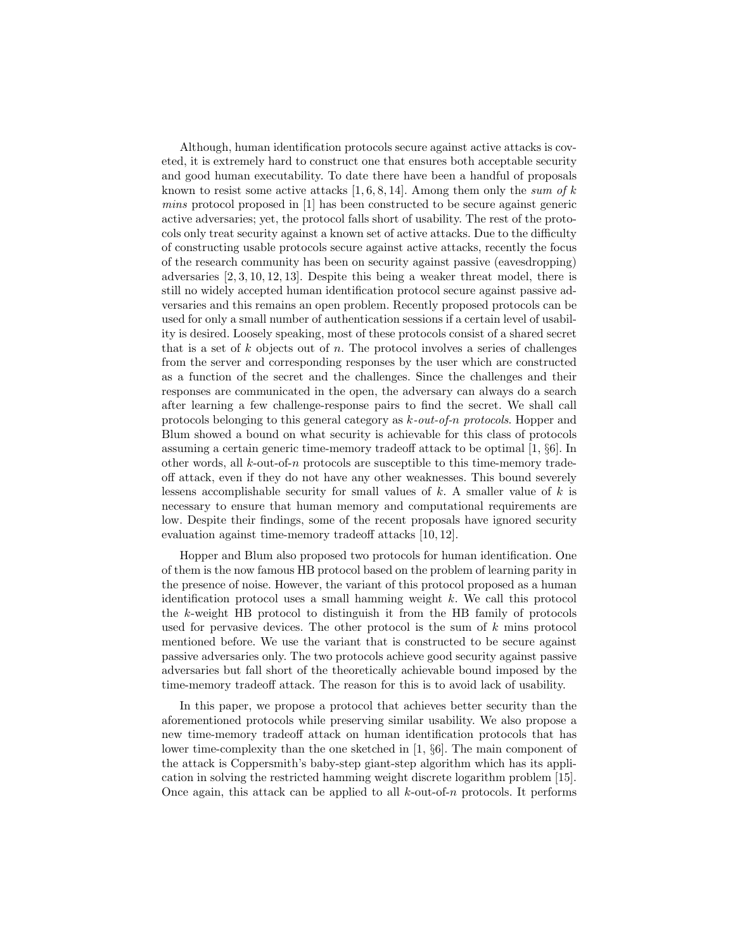Although, human identification protocols secure against active attacks is coveted, it is extremely hard to construct one that ensures both acceptable security and good human executability. To date there have been a handful of proposals known to resist some active attacks [1, 6, 8, 14]. Among them only the sum of  $k$ mins protocol proposed in [1] has been constructed to be secure against generic active adversaries; yet, the protocol falls short of usability. The rest of the protocols only treat security against a known set of active attacks. Due to the difficulty of constructing usable protocols secure against active attacks, recently the focus of the research community has been on security against passive (eavesdropping) adversaries [2, 3, 10, 12, 13]. Despite this being a weaker threat model, there is still no widely accepted human identification protocol secure against passive adversaries and this remains an open problem. Recently proposed protocols can be used for only a small number of authentication sessions if a certain level of usability is desired. Loosely speaking, most of these protocols consist of a shared secret that is a set of  $k$  objects out of  $n$ . The protocol involves a series of challenges from the server and corresponding responses by the user which are constructed as a function of the secret and the challenges. Since the challenges and their responses are communicated in the open, the adversary can always do a search after learning a few challenge-response pairs to find the secret. We shall call protocols belonging to this general category as k-out-of-n protocols. Hopper and Blum showed a bound on what security is achievable for this class of protocols assuming a certain generic time-memory tradeoff attack to be optimal [1, §6]. In other words, all  $k$ -out-of-n protocols are susceptible to this time-memory tradeoff attack, even if they do not have any other weaknesses. This bound severely lessens accomplishable security for small values of  $k$ . A smaller value of  $k$  is necessary to ensure that human memory and computational requirements are low. Despite their findings, some of the recent proposals have ignored security evaluation against time-memory tradeoff attacks [10, 12].

Hopper and Blum also proposed two protocols for human identification. One of them is the now famous HB protocol based on the problem of learning parity in the presence of noise. However, the variant of this protocol proposed as a human identification protocol uses a small hamming weight  $k$ . We call this protocol the k-weight HB protocol to distinguish it from the HB family of protocols used for pervasive devices. The other protocol is the sum of  $k$  mins protocol mentioned before. We use the variant that is constructed to be secure against passive adversaries only. The two protocols achieve good security against passive adversaries but fall short of the theoretically achievable bound imposed by the time-memory tradeoff attack. The reason for this is to avoid lack of usability.

In this paper, we propose a protocol that achieves better security than the aforementioned protocols while preserving similar usability. We also propose a new time-memory tradeoff attack on human identification protocols that has lower time-complexity than the one sketched in [1, §6]. The main component of the attack is Coppersmith's baby-step giant-step algorithm which has its application in solving the restricted hamming weight discrete logarithm problem [15]. Once again, this attack can be applied to all  $k$ -out-of-n protocols. It performs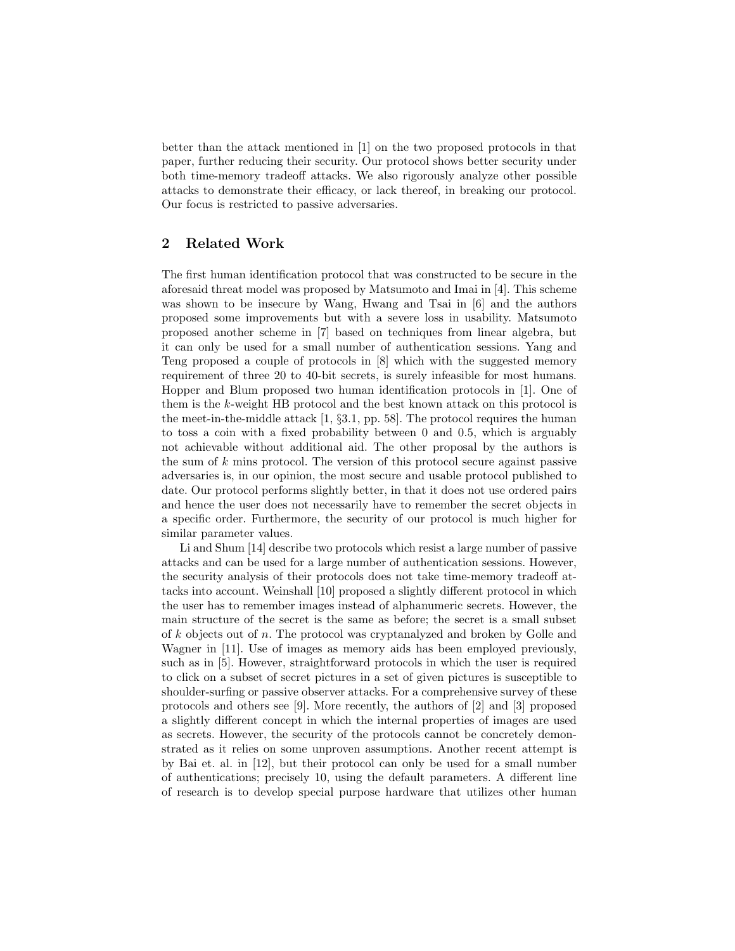better than the attack mentioned in [1] on the two proposed protocols in that paper, further reducing their security. Our protocol shows better security under both time-memory tradeoff attacks. We also rigorously analyze other possible attacks to demonstrate their efficacy, or lack thereof, in breaking our protocol. Our focus is restricted to passive adversaries.

# 2 Related Work

The first human identification protocol that was constructed to be secure in the aforesaid threat model was proposed by Matsumoto and Imai in [4]. This scheme was shown to be insecure by Wang, Hwang and Tsai in [6] and the authors proposed some improvements but with a severe loss in usability. Matsumoto proposed another scheme in [7] based on techniques from linear algebra, but it can only be used for a small number of authentication sessions. Yang and Teng proposed a couple of protocols in [8] which with the suggested memory requirement of three 20 to 40-bit secrets, is surely infeasible for most humans. Hopper and Blum proposed two human identification protocols in [1]. One of them is the k-weight HB protocol and the best known attack on this protocol is the meet-in-the-middle attack [1, §3.1, pp. 58]. The protocol requires the human to toss a coin with a fixed probability between 0 and 0.5, which is arguably not achievable without additional aid. The other proposal by the authors is the sum of  $k$  mins protocol. The version of this protocol secure against passive adversaries is, in our opinion, the most secure and usable protocol published to date. Our protocol performs slightly better, in that it does not use ordered pairs and hence the user does not necessarily have to remember the secret objects in a specific order. Furthermore, the security of our protocol is much higher for similar parameter values.

Li and Shum [14] describe two protocols which resist a large number of passive attacks and can be used for a large number of authentication sessions. However, the security analysis of their protocols does not take time-memory tradeoff attacks into account. Weinshall [10] proposed a slightly different protocol in which the user has to remember images instead of alphanumeric secrets. However, the main structure of the secret is the same as before; the secret is a small subset of  $k$  objects out of  $n$ . The protocol was cryptanalyzed and broken by Golle and Wagner in [11]. Use of images as memory aids has been employed previously, such as in [5]. However, straightforward protocols in which the user is required to click on a subset of secret pictures in a set of given pictures is susceptible to shoulder-surfing or passive observer attacks. For a comprehensive survey of these protocols and others see [9]. More recently, the authors of [2] and [3] proposed a slightly different concept in which the internal properties of images are used as secrets. However, the security of the protocols cannot be concretely demonstrated as it relies on some unproven assumptions. Another recent attempt is by Bai et. al. in [12], but their protocol can only be used for a small number of authentications; precisely 10, using the default parameters. A different line of research is to develop special purpose hardware that utilizes other human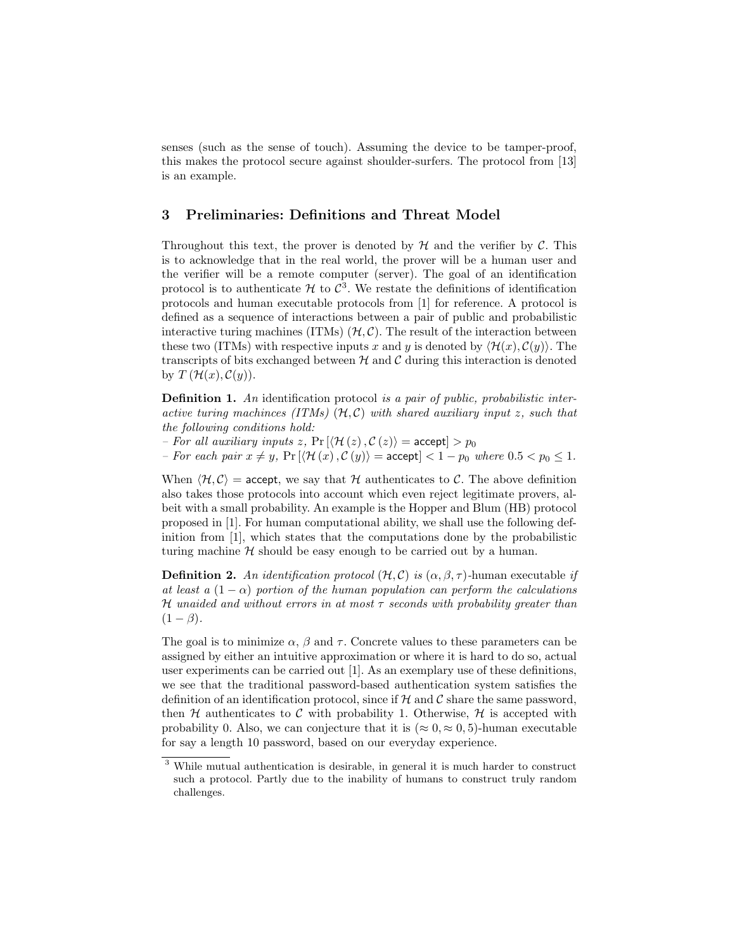senses (such as the sense of touch). Assuming the device to be tamper-proof, this makes the protocol secure against shoulder-surfers. The protocol from [13] is an example.

# 3 Preliminaries: Definitions and Threat Model

Throughout this text, the prover is denoted by  $\mathcal H$  and the verifier by  $\mathcal C$ . This is to acknowledge that in the real world, the prover will be a human user and the verifier will be a remote computer (server). The goal of an identification protocol is to authenticate  $\mathcal H$  to  $\mathcal C^3$ . We restate the definitions of identification protocols and human executable protocols from [1] for reference. A protocol is defined as a sequence of interactions between a pair of public and probabilistic interactive turing machines (ITMs)  $(H, C)$ . The result of the interaction between these two (ITMs) with respective inputs x and y is denoted by  $\langle \mathcal{H}(x), \mathcal{C}(y) \rangle$ . The transcripts of bits exchanged between  $H$  and  $C$  during this interaction is denoted by  $T(\mathcal{H}(x), \mathcal{C}(y)).$ 

**Definition 1.** An identification protocol is a pair of public, probabilistic interactive turing machinces (ITMs)  $(H, C)$  with shared auxiliary input z, such that the following conditions hold:

– For all auxiliary inputs z,  $Pr[\langle \mathcal{H}(z), \mathcal{C}(z) \rangle] =$  accept $] > p_0$ 

– For each pair  $x \neq y$ ,  $Pr\left[\langle \mathcal{H}(x), \mathcal{C}(y)\rangle = \text{accept}\right] < 1 - p_0$  where  $0.5 < p_0 \leq 1$ .

When  $\langle H, C \rangle$  = accept, we say that H authenticates to C. The above definition also takes those protocols into account which even reject legitimate provers, albeit with a small probability. An example is the Hopper and Blum (HB) protocol proposed in [1]. For human computational ability, we shall use the following definition from [1], which states that the computations done by the probabilistic turing machine  $H$  should be easy enough to be carried out by a human.

**Definition 2.** An identification protocol  $(H, \mathcal{C})$  is  $(\alpha, \beta, \tau)$ -human executable if at least a  $(1 - \alpha)$  portion of the human population can perform the calculations H unaided and without errors in at most  $\tau$  seconds with probability greater than  $(1 - \beta)$ .

The goal is to minimize  $\alpha$ ,  $\beta$  and  $\tau$ . Concrete values to these parameters can be assigned by either an intuitive approximation or where it is hard to do so, actual user experiments can be carried out [1]. As an exemplary use of these definitions, we see that the traditional password-based authentication system satisfies the definition of an identification protocol, since if  $H$  and  $C$  share the same password, then  $H$  authenticates to C with probability 1. Otherwise,  $H$  is accepted with probability 0. Also, we can conjecture that it is ( $\approx 0, \approx 0, 5$ )-human executable for say a length 10 password, based on our everyday experience.

<sup>3</sup> While mutual authentication is desirable, in general it is much harder to construct such a protocol. Partly due to the inability of humans to construct truly random challenges.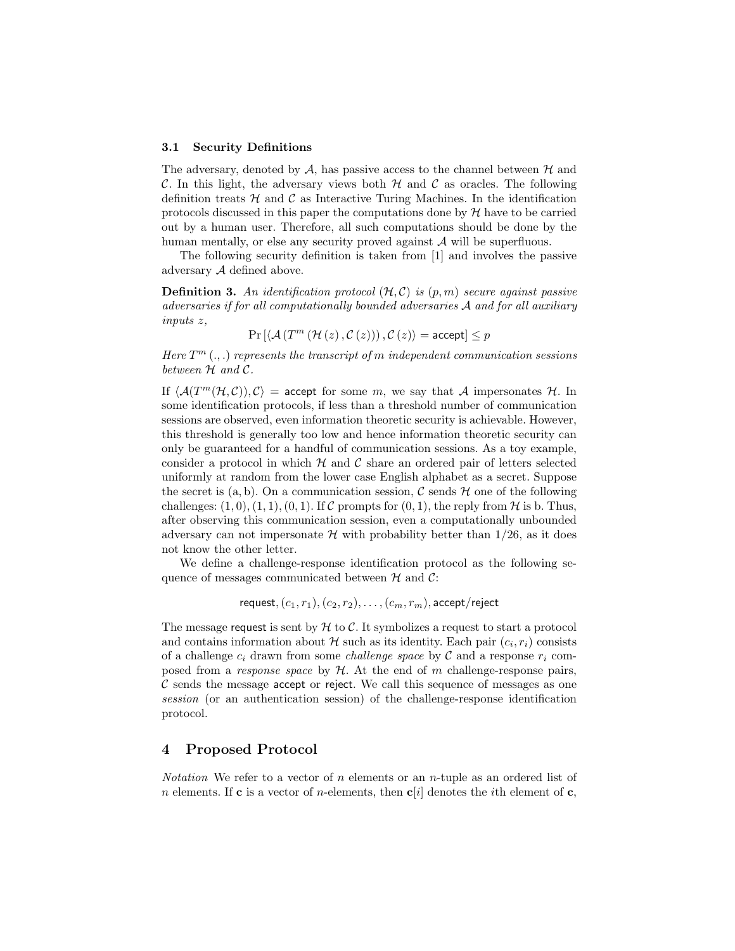#### 3.1 Security Definitions

The adversary, denoted by  $A$ , has passive access to the channel between  $H$  and C. In this light, the adversary views both  $H$  and  $C$  as oracles. The following definition treats  $H$  and  $C$  as Interactive Turing Machines. In the identification protocols discussed in this paper the computations done by  $H$  have to be carried out by a human user. Therefore, all such computations should be done by the human mentally, or else any security proved against  $A$  will be superfluous.

The following security definition is taken from [1] and involves the passive adversary A defined above.

**Definition 3.** An identification protocol  $(H, C)$  is  $(p, m)$  secure against passive adversaries if for all computationally bounded adversaries A and for all auxiliary inputs z,

$$
\Pr\left[\langle \mathcal{A}\left(T^{m}\left(\mathcal{H}\left(z\right),\mathcal{C}\left(z\right)\right)\right),\mathcal{C}\left(z\right)\rangle=\text{accept}\right]\leq p
$$

Here  $T^m$  (...) represents the transcript of m independent communication sessions between  $H$  and  $C$ .

If  $\langle \mathcal{A}(T^m(\mathcal{H}, \mathcal{C})) , \mathcal{C} \rangle$  = accept for some m, we say that A impersonates H. In some identification protocols, if less than a threshold number of communication sessions are observed, even information theoretic security is achievable. However, this threshold is generally too low and hence information theoretic security can only be guaranteed for a handful of communication sessions. As a toy example, consider a protocol in which  $H$  and  $C$  share an ordered pair of letters selected uniformly at random from the lower case English alphabet as a secret. Suppose the secret is  $(a, b)$ . On a communication session, C sends  $H$  one of the following challenges:  $(1, 0), (1, 1), (0, 1)$ . If C prompts for  $(0, 1)$ , the reply from H is b. Thus, after observing this communication session, even a computationally unbounded adversary can not impersonate  $H$  with probability better than  $1/26$ , as it does not know the other letter.

We define a challenge-response identification protocol as the following sequence of messages communicated between  $H$  and  $C$ :

$$
\textsf{request}, (c_1, r_1), (c_2, r_2), \ldots, (c_m, r_m), \textsf{accept/reject}
$$

The message request is sent by  $H$  to C. It symbolizes a request to start a protocol and contains information about  $\mathcal H$  such as its identity. Each pair  $(c_i, r_i)$  consists of a challenge  $c_i$  drawn from some *challenge space* by C and a response  $r_i$  composed from a response space by  $H$ . At the end of m challenge-response pairs,  $\mathcal C$  sends the message accept or reject. We call this sequence of messages as one session (or an authentication session) of the challenge-response identification protocol.

# 4 Proposed Protocol

*Notation* We refer to a vector of n elements or an n-tuple as an ordered list of n elements. If **c** is a vector of n-elements, then **c**[i] denotes the *i*th element of **c**,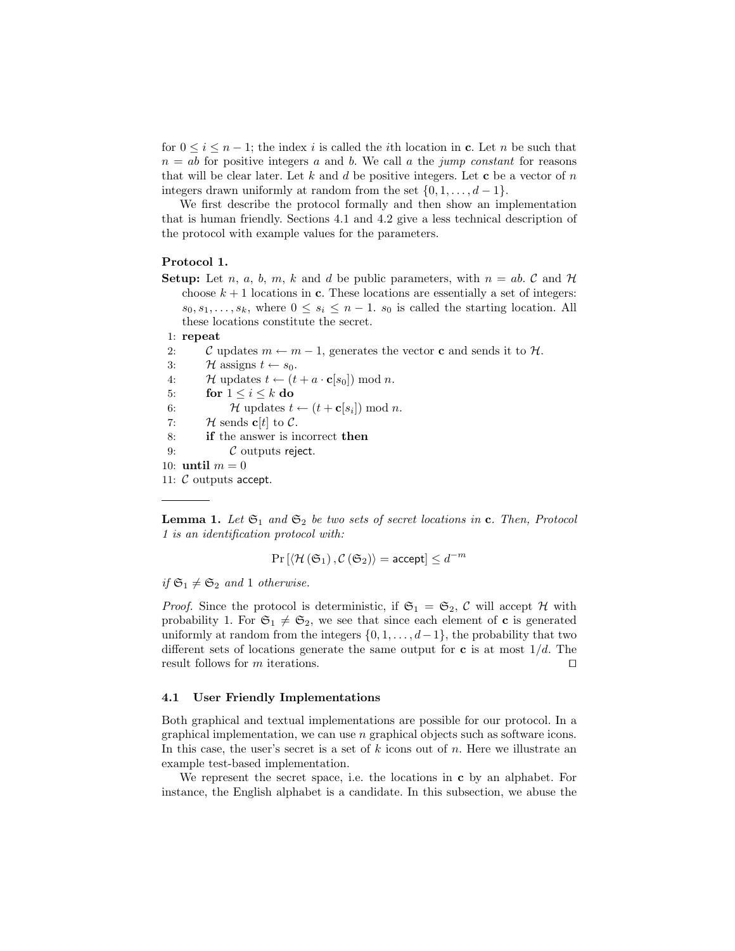for  $0 \leq i \leq n-1$ ; the index i is called the ith location in c. Let n be such that  $n = ab$  for positive integers a and b. We call a the jump constant for reasons that will be clear later. Let k and d be positive integers. Let c be a vector of n integers drawn uniformly at random from the set  $\{0, 1, \ldots, d-1\}$ .

We first describe the protocol formally and then show an implementation that is human friendly. Sections 4.1 and 4.2 give a less technical description of the protocol with example values for the parameters.

#### Protocol 1.

**Setup:** Let n, a, b, m, k and d be public parameters, with  $n = ab$ . C and H choose  $k + 1$  locations in **c**. These locations are essentially a set of integers:  $s_0, s_1, \ldots, s_k$ , where  $0 \leq s_i \leq n-1$ .  $s_0$  is called the starting location. All these locations constitute the secret.

## 1: repeat

- 2: C updates  $m \leftarrow m 1$ , generates the vector **c** and sends it to H.
- 3:  $\mathcal{H}$  assigns  $t \leftarrow s_0$ .
- 4:  $\mathcal{H}$  updates  $t \leftarrow (t + a \cdot \mathbf{c}[s_0]) \text{ mod } n$ .
- 5: for  $1 \leq i \leq k$  do
- 6:  $\mathcal{H}$  updates  $t \leftarrow (t + \mathbf{c}[s_i]) \text{ mod } n$ .
- 7: H sends  $\mathbf{c}[t]$  to  $\mathcal{C}$ .
- 8: if the answer is incorrect then
- 9:  $\mathcal C$  outputs reject.
- 10: until  $m = 0$

11: C outputs accept.

**Lemma 1.** Let  $\mathfrak{S}_1$  and  $\mathfrak{S}_2$  be two sets of secret locations in c. Then, Protocol 1 is an identification protocol with:

$$
\Pr\left[\left\langle \mathcal{H}\left(\mathfrak{S}_1\right),\mathcal{C}\left(\mathfrak{S}_2\right)\right\rangle = \text{accept}\right] \leq d^{-m}
$$

if  $\mathfrak{S}_1 \neq \mathfrak{S}_2$  and 1 otherwise.

*Proof.* Since the protocol is deterministic, if  $\mathfrak{S}_1 = \mathfrak{S}_2$ , C will accept H with probability 1. For  $\mathfrak{S}_1 \neq \mathfrak{S}_2$ , we see that since each element of **c** is generated uniformly at random from the integers  $\{0, 1, \ldots, d-1\}$ , the probability that two different sets of locations generate the same output for c is at most  $1/d$ . The result follows for  $m$  iterations.

## 4.1 User Friendly Implementations

Both graphical and textual implementations are possible for our protocol. In a graphical implementation, we can use n graphical objects such as software icons. In this case, the user's secret is a set of  $k$  icons out of  $n$ . Here we illustrate an example test-based implementation.

We represent the secret space, i.e. the locations in c by an alphabet. For instance, the English alphabet is a candidate. In this subsection, we abuse the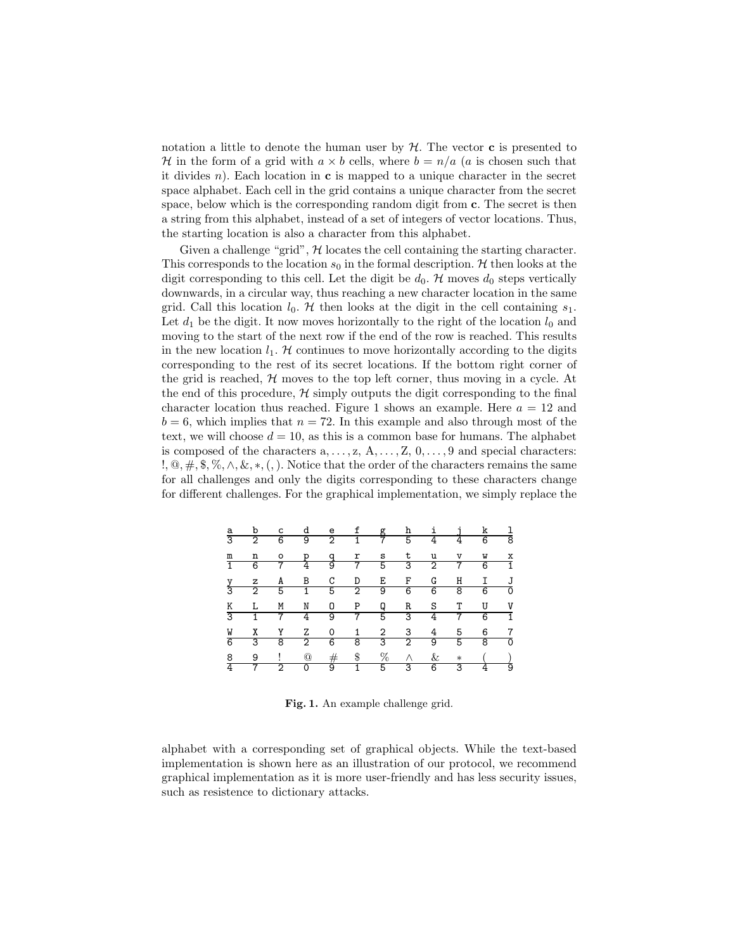notation a little to denote the human user by  $H$ . The vector **c** is presented to H in the form of a grid with  $a \times b$  cells, where  $b = n/a$  (a is chosen such that it divides n). Each location in  $\bf{c}$  is mapped to a unique character in the secret space alphabet. Each cell in the grid contains a unique character from the secret space, below which is the corresponding random digit from c. The secret is then a string from this alphabet, instead of a set of integers of vector locations. Thus, the starting location is also a character from this alphabet.

Given a challenge "grid",  $H$  locates the cell containing the starting character. This corresponds to the location  $s_0$  in the formal description. H then looks at the digit corresponding to this cell. Let the digit be  $d_0$ . H moves  $d_0$  steps vertically downwards, in a circular way, thus reaching a new character location in the same grid. Call this location  $l_0$ . H then looks at the digit in the cell containing  $s_1$ . Let  $d_1$  be the digit. It now moves horizontally to the right of the location  $l_0$  and moving to the start of the next row if the end of the row is reached. This results in the new location  $l_1$ . H continues to move horizontally according to the digits corresponding to the rest of its secret locations. If the bottom right corner of the grid is reached,  $H$  moves to the top left corner, thus moving in a cycle. At the end of this procedure,  $\mathcal{H}$  simply outputs the digit corresponding to the final character location thus reached. Figure 1 shows an example. Here  $a = 12$  and  $b = 6$ , which implies that  $n = 72$ . In this example and also through most of the text, we will choose  $d = 10$ , as this is a common base for humans. The alphabet is composed of the characters  $a, \ldots, z, A, \ldots, Z, 0, \ldots, 9$  and special characters: !,  $\mathcal{Q}, \#$ , \$,  $\mathcal{R}, \wedge, \&$ , \*, (,). Notice that the order of the characters remains the same for all challenges and only the digits corresponding to these characters change for different challenges. For the graphical implementation, we simply replace the

|  |  |  | a b c d e f g h i j k l<br>3 2 6 9 2 1 7 5 4 4 6 8                                                                                                                                                                  |  |  |  |
|--|--|--|---------------------------------------------------------------------------------------------------------------------------------------------------------------------------------------------------------------------|--|--|--|
|  |  |  |                                                                                                                                                                                                                     |  |  |  |
|  |  |  | m n o p q r s t u v w x<br>1 6 7 4 9 7 5 3 2 7 6 1                                                                                                                                                                  |  |  |  |
|  |  |  |                                                                                                                                                                                                                     |  |  |  |
|  |  |  | <u>y z A B C D E F G H I J</u><br>3 2 5 1 5 2 9 6 6 8 6 0                                                                                                                                                           |  |  |  |
|  |  |  |                                                                                                                                                                                                                     |  |  |  |
|  |  |  | K L M N O P Q R S T U V<br>3 1 7 4 9 7 5 3 4 7 6 1                                                                                                                                                                  |  |  |  |
|  |  |  |                                                                                                                                                                                                                     |  |  |  |
|  |  |  | $\frac{W}{6} \quad \frac{X}{3} \quad \frac{Y}{8} \quad \frac{Z}{2} \quad \frac{0}{6} \quad \frac{1}{3} \quad \frac{2}{3} \quad \frac{3}{2} \quad \frac{4}{9} \quad \frac{5}{6} \quad \frac{6}{3} \quad \frac{7}{6}$ |  |  |  |
|  |  |  |                                                                                                                                                                                                                     |  |  |  |
|  |  |  | $\begin{array}{ccccccccccccccccccccc} 8 & 9 & ! & @ & \# & \$ & \% & \wedge & \& & * & & () \\ \hline 4 & 7 & 2 & 0 & 9 & 1 & 5 & 3 & 6 & 3 & 4 & 9 \end{array}$                                                    |  |  |  |
|  |  |  |                                                                                                                                                                                                                     |  |  |  |

Fig. 1. An example challenge grid.

alphabet with a corresponding set of graphical objects. While the text-based implementation is shown here as an illustration of our protocol, we recommend graphical implementation as it is more user-friendly and has less security issues, such as resistence to dictionary attacks.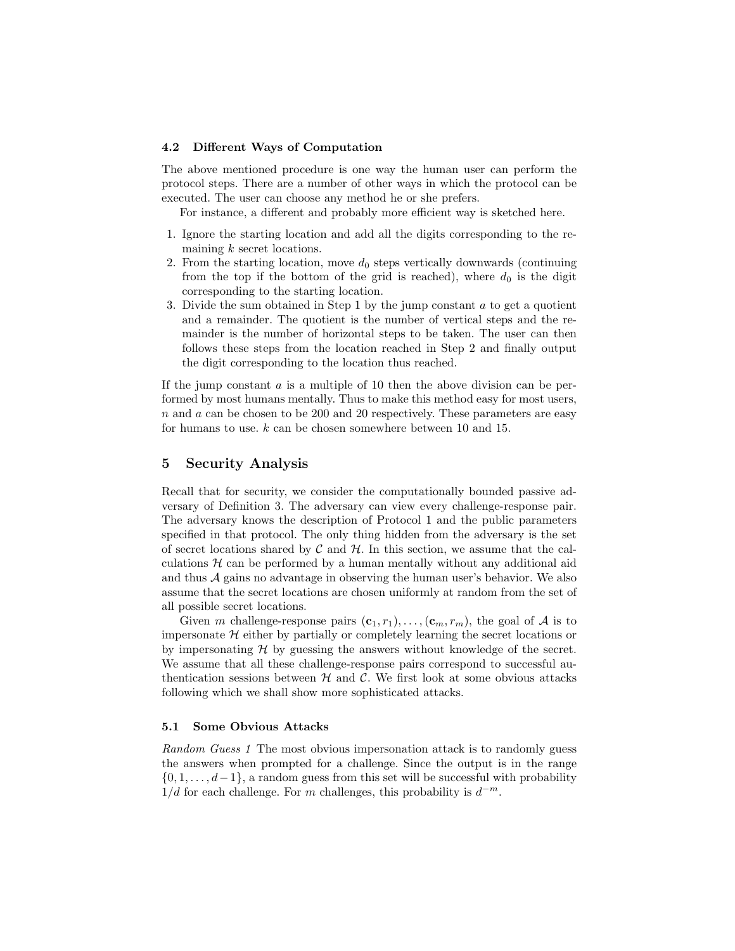#### 4.2 Different Ways of Computation

The above mentioned procedure is one way the human user can perform the protocol steps. There are a number of other ways in which the protocol can be executed. The user can choose any method he or she prefers.

For instance, a different and probably more efficient way is sketched here.

- 1. Ignore the starting location and add all the digits corresponding to the remaining k secret locations.
- 2. From the starting location, move  $d_0$  steps vertically downwards (continuing from the top if the bottom of the grid is reached), where  $d_0$  is the digit corresponding to the starting location.
- 3. Divide the sum obtained in Step 1 by the jump constant  $a$  to get a quotient and a remainder. The quotient is the number of vertical steps and the remainder is the number of horizontal steps to be taken. The user can then follows these steps from the location reached in Step 2 and finally output the digit corresponding to the location thus reached.

If the jump constant  $\alpha$  is a multiple of 10 then the above division can be performed by most humans mentally. Thus to make this method easy for most users, n and a can be chosen to be 200 and 20 respectively. These parameters are easy for humans to use. k can be chosen somewhere between 10 and 15.

## 5 Security Analysis

Recall that for security, we consider the computationally bounded passive adversary of Definition 3. The adversary can view every challenge-response pair. The adversary knows the description of Protocol 1 and the public parameters specified in that protocol. The only thing hidden from the adversary is the set of secret locations shared by  $\mathcal C$  and  $\mathcal H$ . In this section, we assume that the calculations  $H$  can be performed by a human mentally without any additional aid and thus A gains no advantage in observing the human user's behavior. We also assume that the secret locations are chosen uniformly at random from the set of all possible secret locations.

Given m challenge-response pairs  $(c_1, r_1), \ldots, (c_m, r_m)$ , the goal of A is to impersonate  $H$  either by partially or completely learning the secret locations or by impersonating  $H$  by guessing the answers without knowledge of the secret. We assume that all these challenge-response pairs correspond to successful authentication sessions between  $H$  and  $C$ . We first look at some obvious attacks following which we shall show more sophisticated attacks.

#### 5.1 Some Obvious Attacks

Random Guess 1 The most obvious impersonation attack is to randomly guess the answers when prompted for a challenge. Since the output is in the range  $\{0, 1, \ldots, d-1\}$ , a random guess from this set will be successful with probability  $1/d$  for each challenge. For m challenges, this probability is  $d^{-m}$ .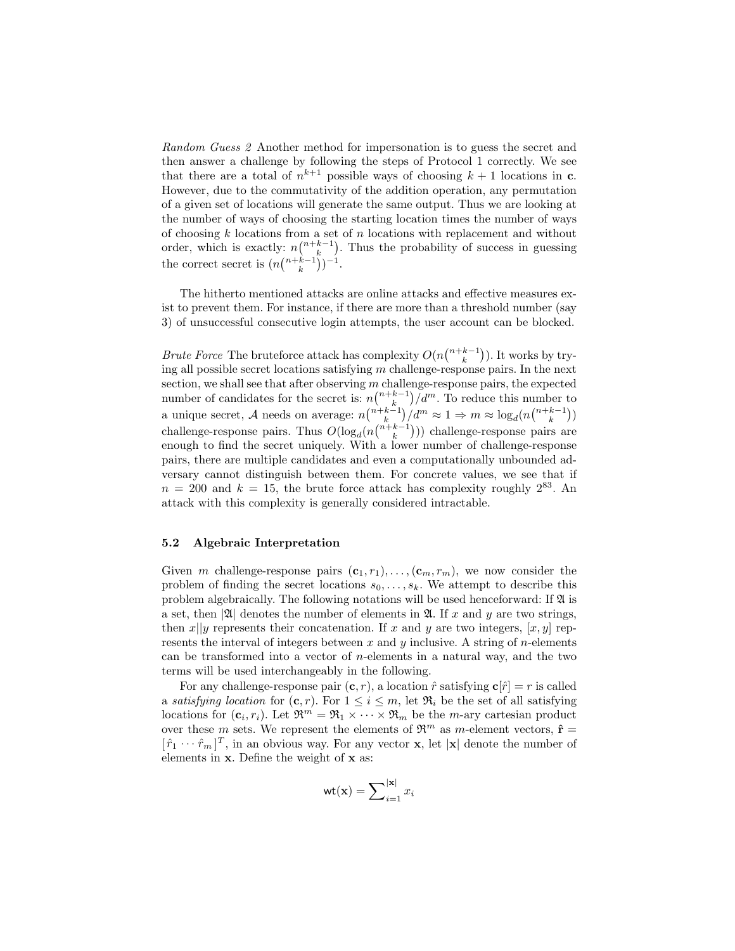Random Guess 2 Another method for impersonation is to guess the secret and then answer a challenge by following the steps of Protocol 1 correctly. We see that there are a total of  $n^{k+1}$  possible ways of choosing  $k+1$  locations in **c**. However, due to the commutativity of the addition operation, any permutation of a given set of locations will generate the same output. Thus we are looking at the number of ways of choosing the starting location times the number of ways of choosing  $k$  locations from a set of  $n$  locations with replacement and without order, which is exactly:  $n\binom{n+k-1}{k}$ . Thus the probability of success in guessing the correct secret is  $(n\binom{n+k-1}{k})^{-1}$ .

The hitherto mentioned attacks are online attacks and effective measures exist to prevent them. For instance, if there are more than a threshold number (say 3) of unsuccessful consecutive login attempts, the user account can be blocked.

*Brute Force* The bruteforce attack has complexity  $O(n\binom{n+k-1}{k})$ . It works by trying all possible secret locations satisfying m challenge-response pairs. In the next section, we shall see that after observing  $m$  challenge-response pairs, the expected number of candidates for the secret is:  $n\binom{n+k-1}{k}/d^m$ . To reduce this number to a unique secret, A needs on average:  $n\binom{n+k-1}{k}/d^m \approx 1 \Rightarrow m \approx \log_d(n\binom{n+k-1}{k})$ challenge-response pairs. Thus  $O(\log_d(nbinom+k-1}))$  challenge-response pairs are enough to find the secret uniquely. With a lower number of challenge-response pairs, there are multiple candidates and even a computationally unbounded adversary cannot distinguish between them. For concrete values, we see that if  $n = 200$  and  $k = 15$ , the brute force attack has complexity roughly  $2^{83}$ . An attack with this complexity is generally considered intractable.

## 5.2 Algebraic Interpretation

Given m challenge-response pairs  $(c_1, r_1), \ldots, (c_m, r_m)$ , we now consider the problem of finding the secret locations  $s_0, \ldots, s_k$ . We attempt to describe this problem algebraically. The following notations will be used henceforward: If  $\mathfrak A$  is a set, then  $|\mathfrak{A}|$  denotes the number of elements in  $\mathfrak{A}$ . If x and y are two strings, then  $x||y$  represents their concatenation. If x and y are two integers,  $[x, y]$  represents the interval of integers between x and y inclusive. A string of n-elements can be transformed into a vector of  $n$ -elements in a natural way, and the two terms will be used interchangeably in the following.

For any challenge-response pair  $(c, r)$ , a location  $\hat{r}$  satisfying  $c[\hat{r}] = r$  is called a satisfying location for  $(c, r)$ . For  $1 \leq i \leq m$ , let  $\mathfrak{R}_i$  be the set of all satisfying locations for  $(c_i, r_i)$ . Let  $\mathfrak{R}^m = \mathfrak{R}_1 \times \cdots \times \mathfrak{R}_m$  be the *m*-ary cartesian product over these m sets. We represent the elements of  $\mathfrak{R}^m$  as m-element vectors,  $\hat{\mathbf{r}} =$  $[\hat{r}_1 \cdots \hat{r}_m]^T$ , in an obvious way. For any vector **x**, let |**x**| denote the number of elements in x. Define the weight of x as:

$$
\mathsf{wt}(\mathbf{x}) = \sum\nolimits_{i=1}^{|\mathbf{x}|} x_i
$$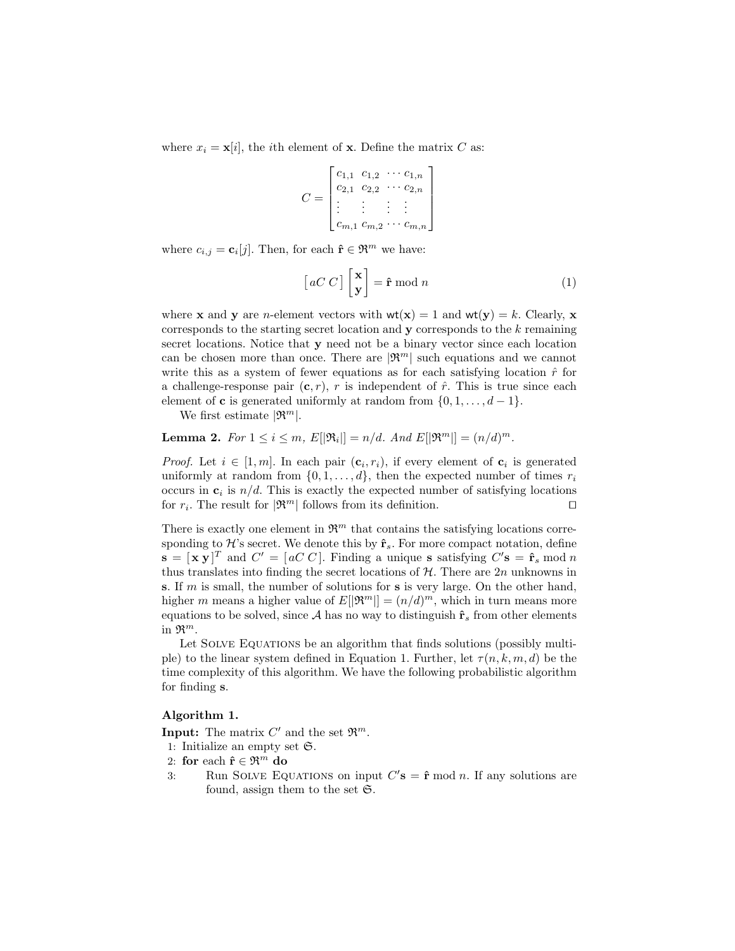where  $x_i = \mathbf{x}[i]$ , the *i*th element of **x**. Define the matrix C as:

$$
C = \begin{bmatrix} c_{1,1} & c_{1,2} & \cdots & c_{1,n} \\ c_{2,1} & c_{2,2} & \cdots & c_{2,n} \\ \vdots & \vdots & \vdots & \vdots \\ c_{m,1} & c_{m,2} & \cdots & c_{m,n} \end{bmatrix}
$$

where  $c_{i,j} = \mathbf{c}_i[j]$ . Then, for each  $\hat{\mathbf{r}} \in \mathfrak{R}^m$  we have:

$$
\left[aC\ C\right]\begin{bmatrix} \mathbf{x} \\ \mathbf{y} \end{bmatrix} = \hat{\mathbf{r}} \bmod n \tag{1}
$$

where **x** and **y** are *n*-element vectors with  $wt(x) = 1$  and  $wt(y) = k$ . Clearly, **x** corresponds to the starting secret location and  $y$  corresponds to the  $k$  remaining secret locations. Notice that y need not be a binary vector since each location can be chosen more than once. There are  $|\mathfrak{R}^m|$  such equations and we cannot write this as a system of fewer equations as for each satisfying location  $\hat{r}$  for a challenge-response pair  $(c, r)$ , r is independent of  $\hat{r}$ . This is true since each element of **c** is generated uniformly at random from  $\{0, 1, \ldots, d-1\}$ .

We first estimate  $|\mathfrak{R}^m|$ .

**Lemma 2.** For  $1 \le i \le m$ ,  $E[|\mathfrak{R}_i|] = n/d$ . And  $E[|\mathfrak{R}^m|] = (n/d)^m$ .

*Proof.* Let  $i \in [1, m]$ . In each pair  $(c_i, r_i)$ , if every element of  $c_i$  is generated uniformly at random from  $\{0, 1, \ldots, d\}$ , then the expected number of times  $r_i$ occurs in  $c_i$  is  $n/d$ . This is exactly the expected number of satisfying locations for  $r_i$ . The result for  $|\mathfrak{R}^m|$  follows from its definition.

There is exactly one element in  $\mathfrak{R}^m$  that contains the satisfying locations corresponding to H's secret. We denote this by  $\hat{\mathbf{r}}_s$ . For more compact notation, define  $\mathbf{s} = [\mathbf{x} \mathbf{y}]^T$  and  $C' = [a C C]$ . Finding a unique s satisfying  $C' \mathbf{s} = \hat{\mathbf{r}}_s \text{ mod } n$ thus translates into finding the secret locations of  $H$ . There are  $2n$  unknowns in s. If m is small, the number of solutions for s is very large. On the other hand, higher m means a higher value of  $E[|\mathfrak{R}^m|] = (n/d)^m$ , which in turn means more equations to be solved, since A has no way to distinguish  $\hat{\mathbf{r}}_s$  from other elements in  $\mathfrak{R}^m$ .

Let SOLVE EQUATIONS be an algorithm that finds solutions (possibly multiple) to the linear system defined in Equation 1. Further, let  $\tau(n,k,m,d)$  be the time complexity of this algorithm. We have the following probabilistic algorithm for finding s.

#### Algorithm 1.

**Input:** The matrix  $C'$  and the set  $\mathfrak{R}^m$ .

1: Initialize an empty set S.

- 2: for each  $\hat{\mathbf{r}} \in \mathfrak{R}^m$  do
- 3: Run SOLVE EQUATIONS on input  $C'$ **s** =  $\hat{\mathbf{r}}$  mod *n*. If any solutions are found, assign them to the set  $\mathfrak{S}$ .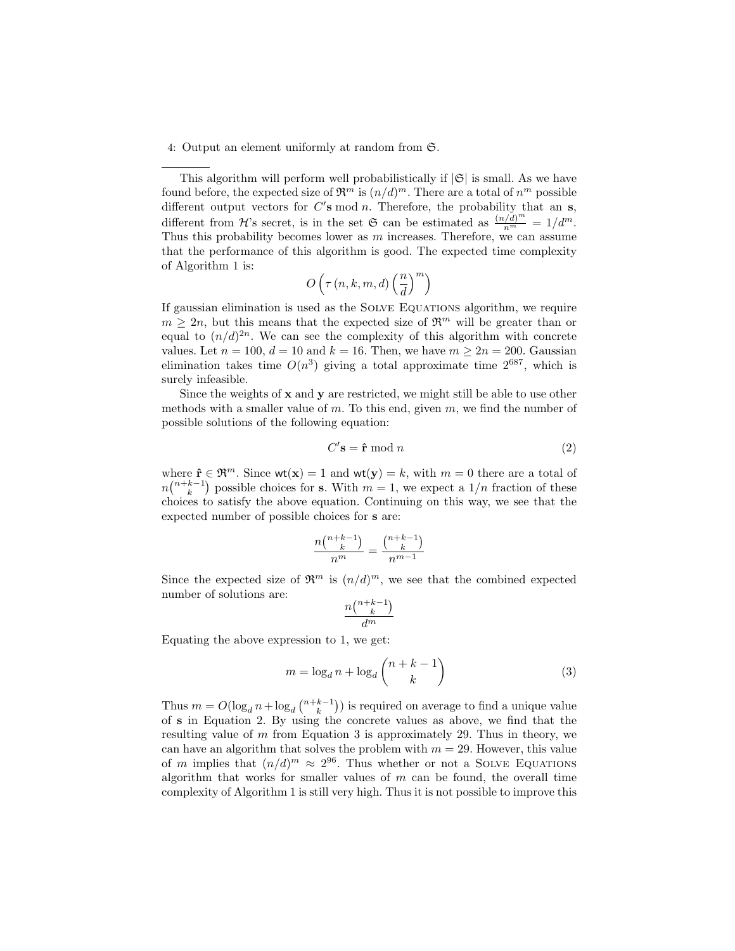4: Output an element uniformly at random from S.

This algorithm will perform well probabilistically if  $|\mathfrak{S}|$  is small. As we have found before, the expected size of  $\mathfrak{R}^m$  is  $(n/d)^m$ . There are a total of  $n^m$  possible different output vectors for  $C'$ s mod n. Therefore, the probability that an s, different from H's secret, is in the set G can be estimated as  $\frac{(n/d)^m}{n^m} = 1/d^m$ . Thus this probability becomes lower as  $m$  increases. Therefore, we can assume that the performance of this algorithm is good. The expected time complexity of Algorithm 1 is:

$$
O\left(\tau\left(n,k,m,d\right)\left(\frac{n}{d}\right)^m\right)
$$

If gaussian elimination is used as the Solve Equations algorithm, we require  $m \geq 2n$ , but this means that the expected size of  $\mathfrak{R}^m$  will be greater than or equal to  $(n/d)^{2n}$ . We can see the complexity of this algorithm with concrete values. Let  $n = 100$ ,  $d = 10$  and  $k = 16$ . Then, we have  $m \ge 2n = 200$ . Gaussian elimination takes time  $O(n^3)$  giving a total approximate time  $2^{687}$ , which is surely infeasible.

Since the weights of x and y are restricted, we might still be able to use other methods with a smaller value of m. To this end, given  $m$ , we find the number of possible solutions of the following equation:

$$
C' \mathbf{s} = \hat{\mathbf{r}} \bmod n \tag{2}
$$

where  $\hat{\mathbf{r}} \in \mathfrak{R}^m$ . Since wt(**x**) = 1 and wt(**y**) = k, with  $m = 0$  there are a total of  $n\binom{n+k-1}{k}$  possible choices for s. With  $m=1$ , we expect a  $1/n$  fraction of these choices to satisfy the above equation. Continuing on this way, we see that the expected number of possible choices for s are:

$$
\frac{n\binom{n+k-1}{k}}{n^m} = \frac{\binom{n+k-1}{k}}{n^{m-1}}
$$

Since the expected size of  $\mathfrak{R}^m$  is  $(n/d)^m$ , we see that the combined expected number of solutions are:

$$
\frac{n\binom{n+k-1}{k}}{d^m}
$$

Equating the above expression to 1, we get:

$$
m = \log_d n + \log_d \binom{n+k-1}{k} \tag{3}
$$

Thus  $m = O(\log_d n + \log_d \binom{n+k-1}{k})$  is required on average to find a unique value of s in Equation 2. By using the concrete values as above, we find that the resulting value of  $m$  from Equation 3 is approximately 29. Thus in theory, we can have an algorithm that solves the problem with  $m = 29$ . However, this value of m implies that  $(n/d)^m \approx 2^{96}$ . Thus whether or not a SOLVE EQUATIONS algorithm that works for smaller values of  $m$  can be found, the overall time complexity of Algorithm 1 is still very high. Thus it is not possible to improve this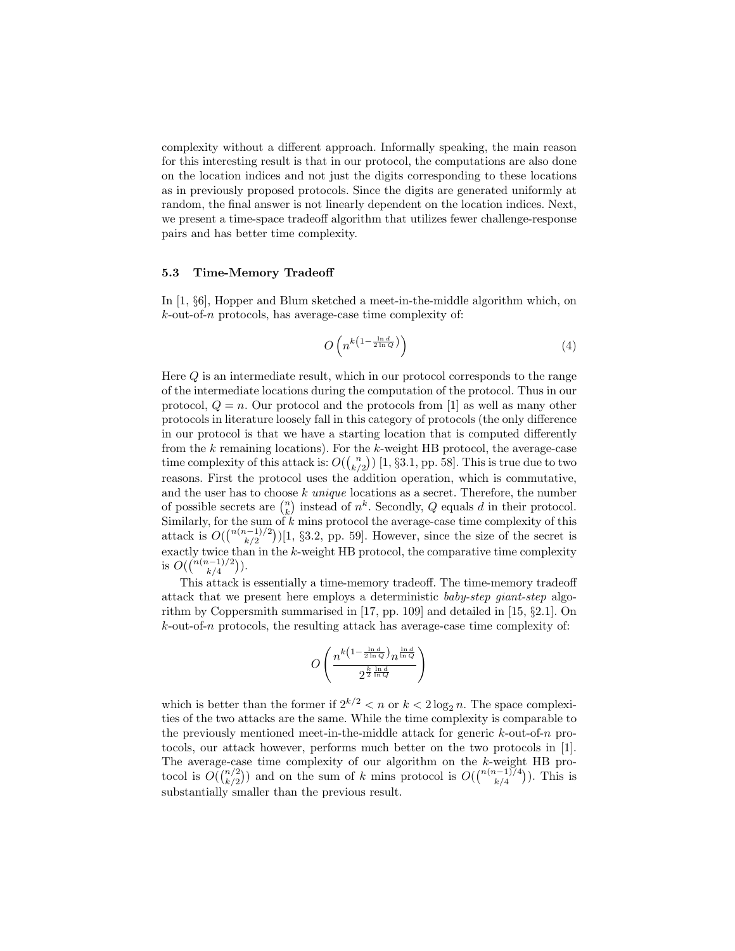complexity without a different approach. Informally speaking, the main reason for this interesting result is that in our protocol, the computations are also done on the location indices and not just the digits corresponding to these locations as in previously proposed protocols. Since the digits are generated uniformly at random, the final answer is not linearly dependent on the location indices. Next, we present a time-space tradeoff algorithm that utilizes fewer challenge-response pairs and has better time complexity.

#### 5.3 Time-Memory Tradeoff

In [1, §6], Hopper and Blum sketched a meet-in-the-middle algorithm which, on  $k$ -out-of-n protocols, has average-case time complexity of:

$$
O\left(n^{k\left(1-\frac{\ln d}{2\ln Q}\right)}\right) \tag{4}
$$

Here  $Q$  is an intermediate result, which in our protocol corresponds to the range of the intermediate locations during the computation of the protocol. Thus in our protocol,  $Q = n$ . Our protocol and the protocols from [1] as well as many other protocols in literature loosely fall in this category of protocols (the only difference in our protocol is that we have a starting location that is computed differently from the  $k$  remaining locations). For the  $k$ -weight HB protocol, the average-case time complexity of this attack is:  $O({n \choose k/2})$  [1, §3.1, pp. 58]. This is true due to two reasons. First the protocol uses the addition operation, which is commutative, and the user has to choose  $k$  unique locations as a secret. Therefore, the number of possible secrets are  $\binom{n}{k}$  instead of  $n^k$ . Secondly, Q equals d in their protocol. Similarly, for the sum of  $k$  mins protocol the average-case time complexity of this attack is  $O({\binom{n(n-1)/2}{k/2}})[1, \S 3.2, \text{ pp. } 59]$ . However, since the size of the secret is exactly twice than in the k-weight HB protocol, the comparative time complexity is  $O(\binom{n(n-1)/2}{k/4})$ .

This attack is essentially a time-memory tradeoff. The time-memory tradeoff attack that we present here employs a deterministic baby-step giant-step algorithm by Coppersmith summarised in [17, pp. 109] and detailed in [15,  $\S 2.1$ ]. On  $k$ -out-of-n protocols, the resulting attack has average-case time complexity of:

$$
O\left(\frac{n^{k\left(1-\frac{\ln d}{2\ln Q}\right)}n^{\frac{\ln d}{\ln Q}}}{2^{\frac{k}{2}\frac{\ln d}{\ln Q}}}\right)
$$

which is better than the former if  $2^{k/2} < n$  or  $k < 2 \log_2 n$ . The space complexities of the two attacks are the same. While the time complexity is comparable to the previously mentioned meet-in-the-middle attack for generic  $k$ -out-of-n protocols, our attack however, performs much better on the two protocols in [1]. The average-case time complexity of our algorithm on the k-weight HB protocol is  $O((\binom{n}{k/2})$  and on the sum of k mins protocol is  $O((\binom{n(n-1)}{k/4})$ . This is substantially smaller than the previous result.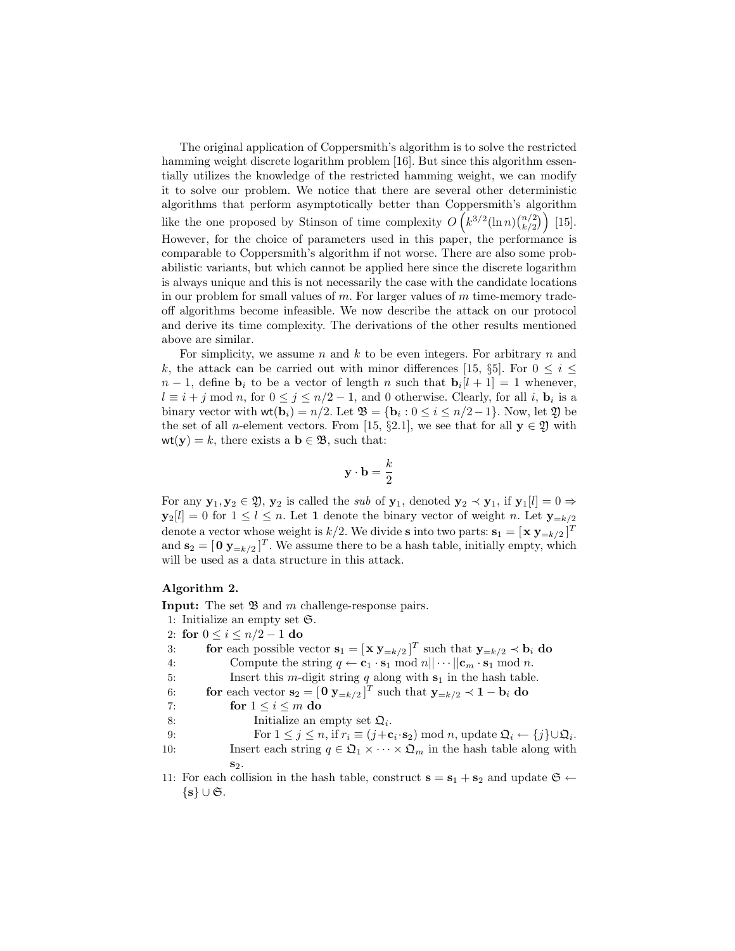The original application of Coppersmith's algorithm is to solve the restricted hamming weight discrete logarithm problem [16]. But since this algorithm essentially utilizes the knowledge of the restricted hamming weight, we can modify it to solve our problem. We notice that there are several other deterministic algorithms that perform asymptotically better than Coppersmith's algorithm like the one proposed by Stinson of time complexity  $O\left(k^{3/2}(\ln n)\binom{n/2}{k/2}\right)$  [15]. However, for the choice of parameters used in this paper, the performance is comparable to Coppersmith's algorithm if not worse. There are also some probabilistic variants, but which cannot be applied here since the discrete logarithm is always unique and this is not necessarily the case with the candidate locations in our problem for small values of  $m$ . For larger values of  $m$  time-memory tradeoff algorithms become infeasible. We now describe the attack on our protocol and derive its time complexity. The derivations of the other results mentioned above are similar.

For simplicity, we assume n and k to be even integers. For arbitrary n and k, the attack can be carried out with minor differences [15, §5]. For  $0 \leq i \leq$  $n-1$ , define  $\mathbf{b}_i$  to be a vector of length n such that  $\mathbf{b}_i[l+1] = 1$  whenever,  $l \equiv i+j \bmod n$ , for  $0 \leq j \leq n/2-1$ , and 0 otherwise. Clearly, for all i,  $\mathbf{b}_i$  is a binary vector with  $\text{wt}(\mathbf{b}_i) = n/2$ . Let  $\mathfrak{B} = {\mathbf{b}_i : 0 \le i \le n/2 - 1}$ . Now, let  $\mathfrak{Y}$  be the set of all *n*-element vectors. From [15, §2.1], we see that for all  $y \in \mathfrak{Y}$  with  $wt(y) = k$ , there exists a  $b \in \mathfrak{B}$ , such that:

$$
\mathbf{y}\cdot \mathbf{b}=\frac{k}{2}
$$

For any  $y_1, y_2 \in \mathfrak{Y}, y_2$  is called the sub of  $y_1$ , denoted  $y_2 \prec y_1$ , if  $y_1[l] = 0 \Rightarrow$  $y_2[l] = 0$  for  $1 \leq l \leq n$ . Let 1 denote the binary vector of weight n. Let  $y_{-k/2}$ denote a vector whose weight is  $k/2$ . We divide **s** into two parts:  $\mathbf{s}_1 = [\mathbf{x} \ \mathbf{y}_{=k/2}]^T$ and  $\mathbf{s}_2 = [\mathbf{0} \ \mathbf{y}_{=k/2}]^T$ . We assume there to be a hash table, initially empty, which will be used as a data structure in this attack.

#### Algorithm 2.

**Input:** The set  $\mathfrak{B}$  and m challenge-response pairs.

- 1: Initialize an empty set S.
- 2: for  $0 \le i \le n/2 1$  do

| 3:  | for each possible vector $\mathbf{s}_1 = [\mathbf{x} \ \mathbf{y}_{=k/2}]^T$ such that $\mathbf{y}_{=k/2} \prec \mathbf{b}_i$ do                      |
|-----|-------------------------------------------------------------------------------------------------------------------------------------------------------|
| 4:  | Compute the string $q \leftarrow \mathbf{c}_1 \cdot \mathbf{s}_1 \mod n    \cdots    \mathbf{c}_m \cdot \mathbf{s}_1 \mod n$ .                        |
| 5:  | Insert this <i>m</i> -digit string $q$ along with $s_1$ in the hash table.                                                                            |
| 6:  | for each vector $\mathbf{s}_2 = [\mathbf{0} \ \mathbf{y}_{=k/2}]^T$ such that $\mathbf{y}_{=k/2} \prec \mathbf{1} - \mathbf{b}_i$ do                  |
| 7:  | for $1 \leq i \leq m$ do                                                                                                                              |
| 8:  | Initialize an empty set $\mathfrak{Q}_i$ .                                                                                                            |
| 9:  | For $1 \leq j \leq n$ , if $r_i \equiv (j + \mathbf{c}_i \cdot \mathbf{s}_2) \mod n$ , update $\mathfrak{Q}_i \leftarrow \{j\} \cup \mathfrak{Q}_i$ . |
| 10: | Insert each string $q \in \mathfrak{Q}_1 \times \cdots \times \mathfrak{Q}_m$ in the hash table along with                                            |
|     | $S_2$ .                                                                                                                                               |
|     | 11. For each collision in the hash table, construct $s = s_1 + s_2$ and undate $\mathfrak{S} \leftarrow$                                              |

11: For each collision in the hash table, construct  $s = s_1 + s_2$  and update  $\{s\} \cup \mathfrak{S}.$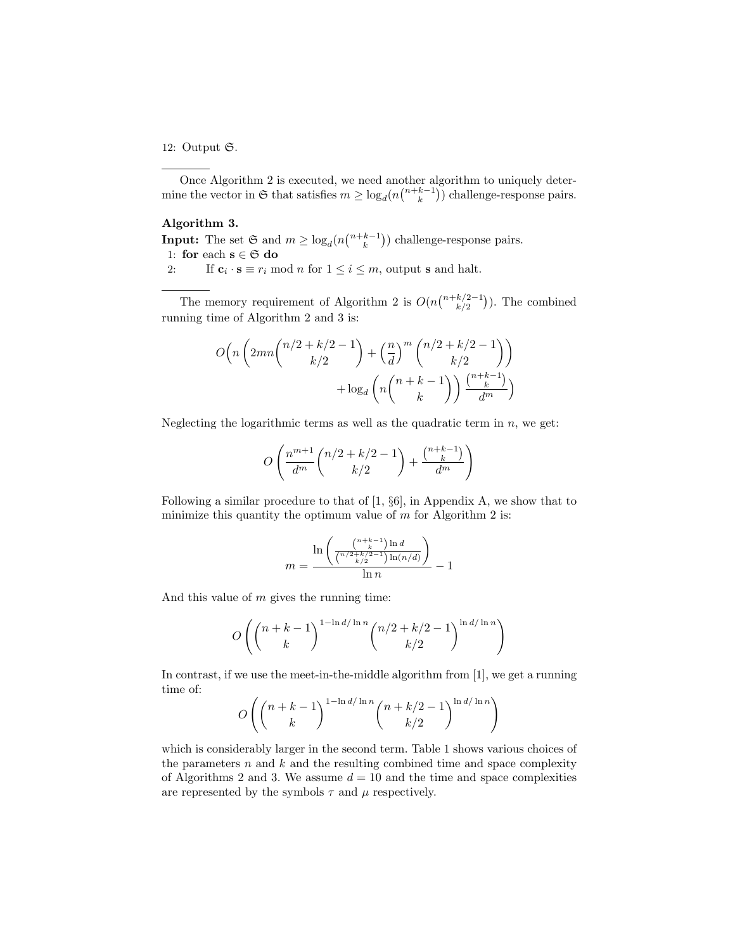## 12: Output S.

Once Algorithm 2 is executed, we need another algorithm to uniquely determine the vector in  $\mathfrak{S}$  that satisfies  $m \geq \log_d(n \binom{n+k-1}{k})$  challenge-response pairs.

# Algorithm 3.

**Input:** The set  $\mathfrak{S}$  and  $m \geq \log_d(n \binom{n+k-1}{k})$  challenge-response pairs. 1: for each  $\mathbf{s} \in \mathfrak{S}$  do

2: If  $\mathbf{c}_i \cdot \mathbf{s} \equiv r_i \mod n$  for  $1 \leq i \leq m$ , output **s** and halt.

The memory requirement of Algorithm 2 is  $O(nbinom+k/2-1}{k/2})$ . The combined running time of Algorithm 2 and 3 is:

$$
O\left(n\left(2mn\binom{n/2+k/2-1}{k/2} + \left(\frac{n}{d}\right)^m \binom{n/2+k/2-1}{k/2}\right)\right) + \log_d\left(n\binom{n+k-1}{k}\right) \frac{\binom{n+k-1}{k}}{d^m}
$$

Neglecting the logarithmic terms as well as the quadratic term in  $n$ , we get:

$$
O\left(\frac{n^{m+1}}{d^m}\binom{n/2+k/2-1}{k/2} + \frac{\binom{n+k-1}{k}}{d^m}\right)
$$

Following a similar procedure to that of [1, §6], in Appendix A, we show that to minimize this quantity the optimum value of  $m$  for Algorithm 2 is:

$$
m = \frac{\ln\left(\frac{\binom{n+k-1}{k} \ln d}{\binom{n/2+k/2-1}{k/2} \ln(n/d)}\right)}{\ln n} - 1
$$

And this value of  $m$  gives the running time:

$$
O\left( {{{n+k-1} \choose k}^{1-\ln d/\ln n} {{n/2+k/2-1} \choose k/2}^{\ln d/\ln n}} \right)
$$

In contrast, if we use the meet-in-the-middle algorithm from [1], we get a running time of:

$$
O\left(\binom{n+k-1}{k}^{\ln d/\ln n} \binom{n+k/2-1}{k/2}^{\ln d/\ln n}\right)
$$

which is considerably larger in the second term. Table 1 shows various choices of the parameters  $n$  and  $k$  and the resulting combined time and space complexity of Algorithms 2 and 3. We assume  $d = 10$  and the time and space complexities are represented by the symbols  $\tau$  and  $\mu$  respectively.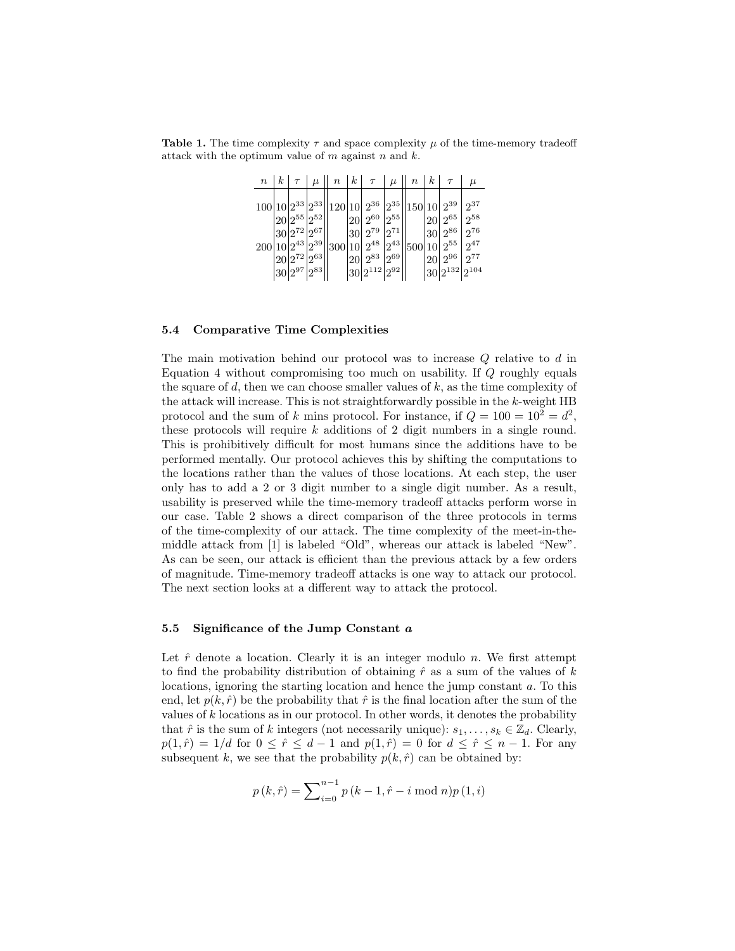**Table 1.** The time complexity  $\tau$  and space complexity  $\mu$  of the time-memory tradeoff attack with the optimum value of  $m$  against  $n$  and  $k$ .

| $\it n$                | $\kappa$ | $\tau$              | $\mu$                                                                                            | $\boldsymbol{n}$ | $k \mid \tau$                                                                                                                                                                                    | $\mu$ | $\, n \,$ | $\kappa$          | $\tau$                                                                    | $\mu$                                               |
|------------------------|----------|---------------------|--------------------------------------------------------------------------------------------------|------------------|--------------------------------------------------------------------------------------------------------------------------------------------------------------------------------------------------|-------|-----------|-------------------|---------------------------------------------------------------------------|-----------------------------------------------------|
| $200 10 2^{43} 2^{39}$ |          | $20 2^{72} 2^{63} $ | $20 2^{55} 2^{52} $<br>$\left 30\right 2^{72}\left 2^{67}\right \right $<br>$ 30 2^{97} 2^{83} $ |                  | $100 10 2^{33} 2^{33}  120 10 2^{36} 2^{35}  150 10 2^{39}$<br>$ 20  2^{60}  2^{55} $<br>$ 30 $ $2^{79}$ $ 2^{71} $<br>$ 300 10  2^{48}  2^{43} $<br>$20 2^{83} 2^{69}$<br>$ 30 2^{112} 2^{92} $ |       | 500 10    | 20 <br> 30 <br>20 | $+2^{65}$<br>$12^{86}$<br>$+2^{55}$<br>$12^{96}$<br>$ 30 2^{132} 2^{104}$ | $2^{37}$<br>$2^{58}$<br>$2^{76}$<br>$2^{47}$<br>277 |

### 5.4 Comparative Time Complexities

The main motivation behind our protocol was to increase Q relative to d in Equation 4 without compromising too much on usability. If Q roughly equals the square of  $d$ , then we can choose smaller values of  $k$ , as the time complexity of the attack will increase. This is not straightforwardly possible in the k-weight HB protocol and the sum of k mins protocol. For instance, if  $Q = 100 = 10^2 = d^2$ , these protocols will require  $k$  additions of 2 digit numbers in a single round. This is prohibitively difficult for most humans since the additions have to be performed mentally. Our protocol achieves this by shifting the computations to the locations rather than the values of those locations. At each step, the user only has to add a 2 or 3 digit number to a single digit number. As a result, usability is preserved while the time-memory tradeoff attacks perform worse in our case. Table 2 shows a direct comparison of the three protocols in terms of the time-complexity of our attack. The time complexity of the meet-in-themiddle attack from [1] is labeled "Old", whereas our attack is labeled "New". As can be seen, our attack is efficient than the previous attack by a few orders of magnitude. Time-memory tradeoff attacks is one way to attack our protocol. The next section looks at a different way to attack the protocol.

#### 5.5 Significance of the Jump Constant  $a$

Let  $\hat{r}$  denote a location. Clearly it is an integer modulo n. We first attempt to find the probability distribution of obtaining  $\hat{r}$  as a sum of the values of k locations, ignoring the starting location and hence the jump constant a. To this end, let  $p(k, \hat{r})$  be the probability that  $\hat{r}$  is the final location after the sum of the values of  $k$  locations as in our protocol. In other words, it denotes the probability that  $\hat{r}$  is the sum of k integers (not necessarily unique):  $s_1, \ldots, s_k \in \mathbb{Z}_d$ . Clearly,  $p(1,\hat{r}) = 1/d$  for  $0 \leq \hat{r} \leq d-1$  and  $p(1,\hat{r}) = 0$  for  $d \leq \hat{r} \leq n-1$ . For any subsequent k, we see that the probability  $p(k, \hat{r})$  can be obtained by:

$$
p(k,\hat{r}) = \sum_{i=0}^{n-1} p(k-1,\hat{r}-i \bmod n)p(1,i)
$$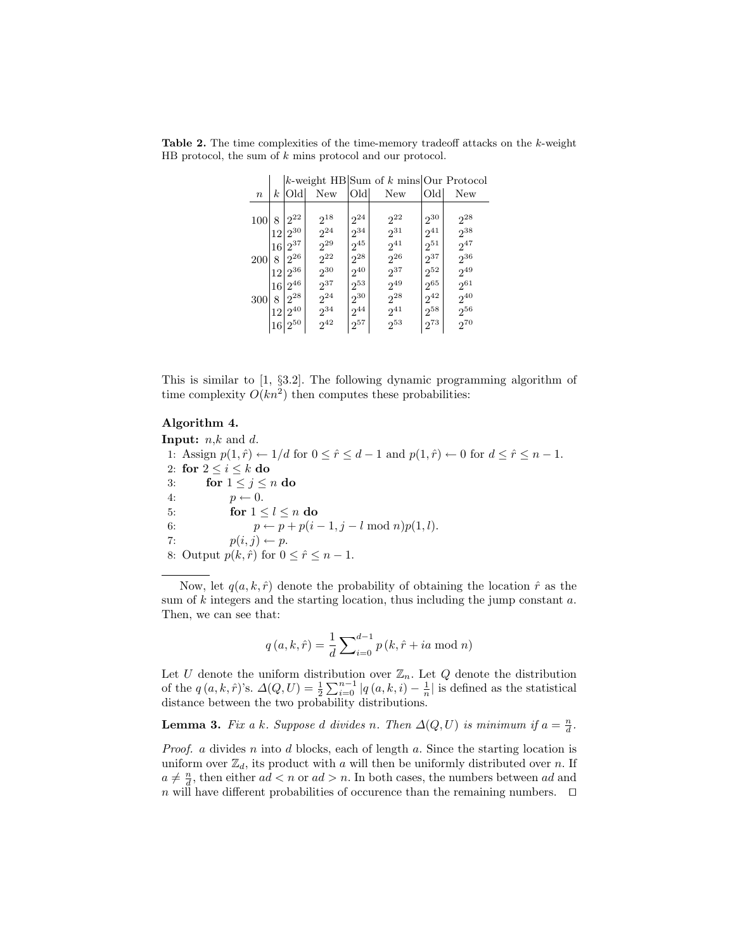Table 2. The time complexities of the time-memory tradeoff attacks on the k-weight HB protocol, the sum of k mins protocol and our protocol.

|                  |               |                                                  |                                                     |                                              | k-weight HB Sum of $k$ mins Our Protocol     |                                              |                                              |
|------------------|---------------|--------------------------------------------------|-----------------------------------------------------|----------------------------------------------|----------------------------------------------|----------------------------------------------|----------------------------------------------|
| $\boldsymbol{n}$ | k.            | Oldl                                             | New                                                 | Old                                          | New                                          | Old                                          | New                                          |
| 100              | 8<br>12       | $2^{22}$<br>$2^{30}$                             | $2^{18}$<br>2 <sup>24</sup>                         | $2^{24}$<br>$2^{34}$                         | $2^{22}$<br>231                              | $2^{30}$<br>$2^{41}$                         | $2^{28}$<br>$2^{38}$                         |
| 200              | 16<br>8<br>12 | $2^{37}$<br>26<br>$2^{36}$                       | $2^{29}$<br>$2^{22}$<br>$2^{30}$                    | $2^{45}$<br>$2^{28}$<br>$2^{40}$             | $2^{41}$<br>$2^{26}$<br>$2^{37}$             | $2^{51}$<br>$2^{37}$<br>$2^{52}$             | $2^{47}$<br>$2^{36}$<br>$2^{49}$             |
| 300              | 16<br>8<br>16 | $2^{46}$<br>$2^{28}$<br>$12 2^{40}$<br>$12^{50}$ | $2^{37}$<br>2 <sup>24</sup><br>$2^{34}$<br>$2^{42}$ | $2^{53}$<br>$2^{30}$<br>$2^{44}$<br>$2^{57}$ | $2^{49}$<br>$2^{28}$<br>$2^{41}$<br>$2^{53}$ | $2^{65}$<br>$2^{42}$<br>$2^{58}$<br>$2^{73}$ | $2^{61}$<br>$2^{40}$<br>$2^{56}$<br>$2^{70}$ |

This is similar to [1, §3.2]. The following dynamic programming algorithm of time complexity  $O(kn^2)$  then computes these probabilities:

## Algorithm 4.

**Input:**  $n,k$  and  $d$ . 1: Assign  $p(1, \hat{r}) \leftarrow 1/d$  for  $0 \leq \hat{r} \leq d - 1$  and  $p(1, \hat{r}) \leftarrow 0$  for  $d \leq \hat{r} \leq n - 1$ . 2: for  $2 \leq i \leq k$  do 3: for  $1 \leq j \leq n$  do 4:  $p \leftarrow 0$ . 5: for  $1 \leq l \leq n$  do 6:  $p \leftarrow p + p(i - 1, j - l \mod n)p(1, l).$ 7:  $p(i, j) \leftarrow p$ . 8: Output  $p(k, \hat{r})$  for  $0 \leq \hat{r} \leq n - 1$ .

Now, let  $q(a, k, \hat{r})$  denote the probability of obtaining the location  $\hat{r}$  as the sum of  $k$  integers and the starting location, thus including the jump constant  $a$ . Then, we can see that:

$$
q(a, k, \hat{r}) = \frac{1}{d} \sum_{i=0}^{d-1} p(k, \hat{r} + ia \mod n)
$$

Let U denote the uniform distribution over  $\mathbb{Z}_n$ . Let Q denote the distribution of the  $q(a, k, \hat{r})$ 's.  $\Delta(Q, U) = \frac{1}{2} \sum_{i=0}^{n-1} |q(a, k, i) - \frac{1}{n}|$  is defined as the statistical distance between the two probability distributions.

**Lemma 3.** Fix a k. Suppose d divides n. Then  $\Delta(Q, U)$  is minimum if  $a = \frac{n}{d}$ .

*Proof.* a divides n into d blocks, each of length a. Since the starting location is uniform over  $\mathbb{Z}_d$ , its product with a will then be uniformly distributed over n. If  $a \neq \frac{n}{d}$ , then either  $ad < n$  or  $ad > n$ . In both cases, the numbers between  $ad$  and n will have different probabilities of occurence than the remaining numbers.  $\Box$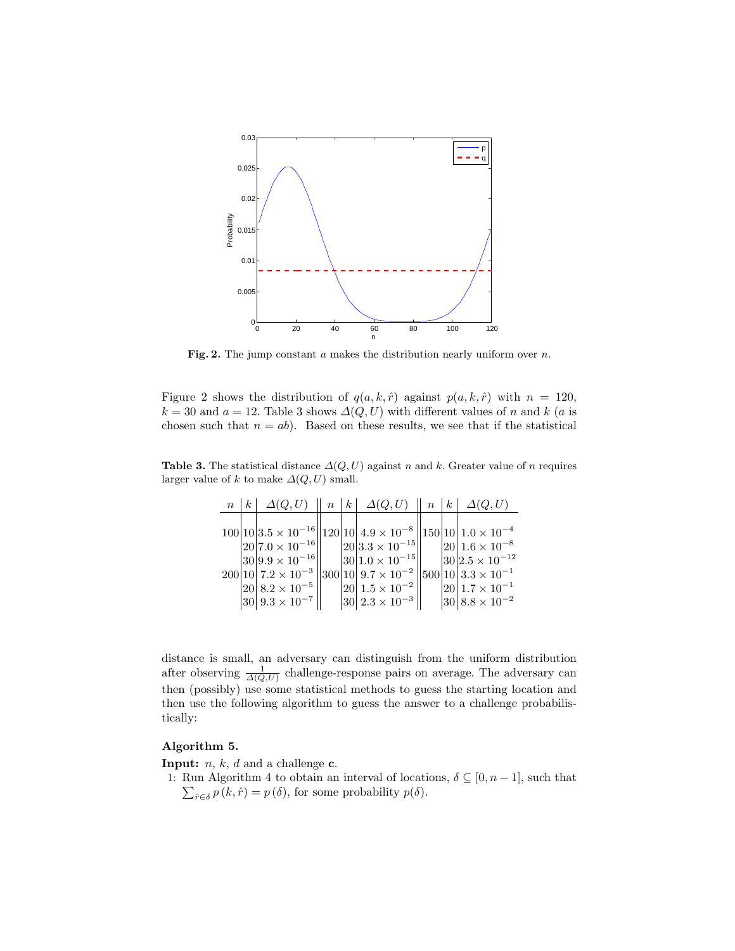

Fig. 2. The jump constant  $a$  makes the distribution nearly uniform over  $n$ .

Figure 2 shows the distribution of  $q(a, k, \hat{r})$  against  $p(a, k, \hat{r})$  with  $n = 120$ ,  $k = 30$  and  $a = 12$ . Table 3 shows  $\Delta(Q, U)$  with different values of n and k (a is chosen such that  $n = ab$ ). Based on these results, we see that if the statistical

Table 3. The statistical distance  $\Delta(Q, U)$  against n and k. Greater value of n requires larger value of k to make  $\Delta(Q, U)$  small.

|  |                                          |  | $n \mid k \mid \Delta(Q, U) \parallel n \mid k \mid \Delta(Q, U) \parallel n \mid k \mid \Delta(Q, U)$ |  |                           |
|--|------------------------------------------|--|--------------------------------------------------------------------------------------------------------|--|---------------------------|
|  |                                          |  |                                                                                                        |  |                           |
|  |                                          |  | $100 10 3.5\times10^{-16}\ 120 10 4.9\times10^{-8}\ 150 10 1.0\times10^{-4}$                           |  |                           |
|  | $ 20 7.0 \times 10^{-16}$                |  | $ 20 3.3\times10^{-15} $                                                                               |  | $ 20 1.6 \times 10^{-8}$  |
|  | $ 30 9.9 \times 10^{-16}$                |  | $ 30 1.0 \times 10^{-15} $                                                                             |  | $ 30 2.5 \times 10^{-12}$ |
|  |                                          |  | $200 10 7.2\times10^{-3} 300 10 9.7\times10^{-2} 500 10 3.3\times10^{-1}$                              |  |                           |
|  | $ 20 $ 8.2 $\times$ 10 <sup>-5</sup> $ $ |  | $ 20 1.5 \times 10^{-2} $                                                                              |  | $ 20 1.7 \times 10^{-1}$  |
|  | $ 30 9.3 \times 10^{-7} $                |  | $ 30  2.3 \times 10^{-3}$                                                                              |  | $ 30  8.8 \times 10^{-2}$ |

distance is small, an adversary can distinguish from the uniform distribution after observing  $\frac{1}{\Delta(Q,U)}$  challenge-response pairs on average. The adversary can then (possibly) use some statistical methods to guess the starting location and then use the following algorithm to guess the answer to a challenge probabilistically:

## Algorithm 5.

**Input:**  $n, k, d$  and a challenge **c**.

1: Run Algorithm 4 to obtain an interval of locations,  $\delta \subseteq [0, n-1]$ , such that  $\sum_{\hat{r}\in\delta} p(k,\hat{r}) = p(\delta)$ , for some probability  $p(\delta)$ .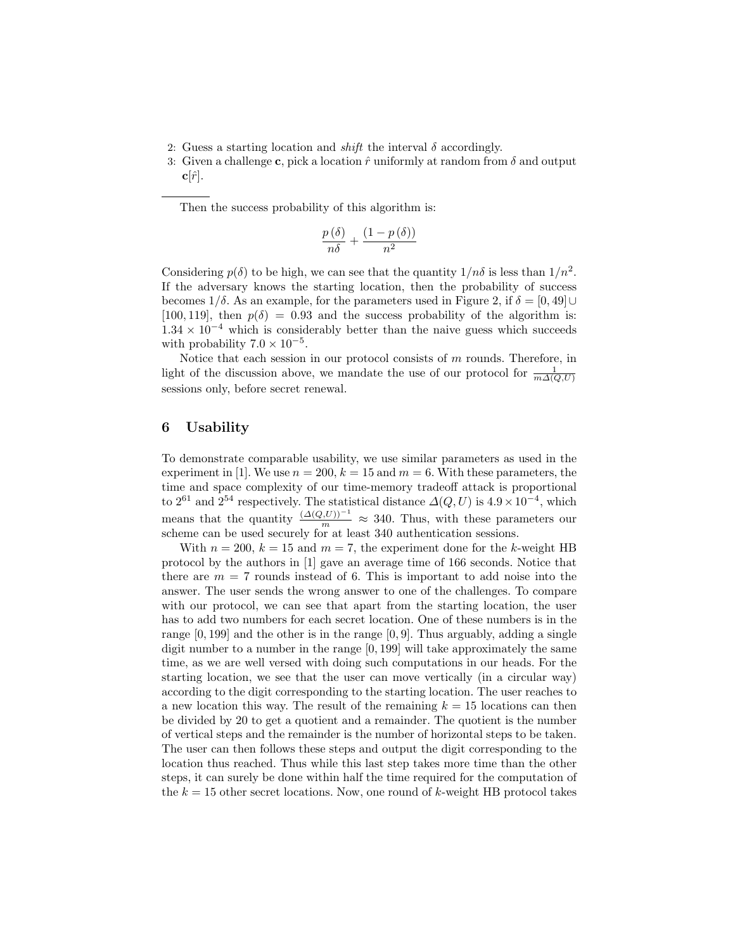- 2: Guess a starting location and *shift* the interval  $\delta$  accordingly.
- 3: Given a challenge c, pick a location  $\hat{r}$  uniformly at random from  $\delta$  and output  $c|\hat{r}|.$

Then the success probability of this algorithm is:

$$
\frac{p(\delta)}{n\delta} + \frac{(1-p(\delta))}{n^2}
$$

Considering  $p(\delta)$  to be high, we can see that the quantity  $1/n\delta$  is less than  $1/n^2$ . If the adversary knows the starting location, then the probability of success becomes  $1/\delta$ . As an example, for the parameters used in Figure 2, if  $\delta = [0, 49] \cup$ [100, 119], then  $p(\delta) = 0.93$  and the success probability of the algorithm is:  $1.34 \times 10^{-4}$  which is considerably better than the naive guess which succeeds with probability  $7.0 \times 10^{-5}$ .

Notice that each session in our protocol consists of  $m$  rounds. Therefore, in light of the discussion above, we mandate the use of our protocol for  $\frac{1}{m\Delta(Q,U)}$ sessions only, before secret renewal.

## 6 Usability

To demonstrate comparable usability, we use similar parameters as used in the experiment in [1]. We use  $n = 200$ ,  $k = 15$  and  $m = 6$ . With these parameters, the time and space complexity of our time-memory tradeoff attack is proportional to 2<sup>61</sup> and 2<sup>54</sup> respectively. The statistical distance  $\Delta(Q, U)$  is  $4.9 \times 10^{-4}$ , which means that the quantity  $\frac{(\Delta(Q,U))^{-1}}{m} \approx 340$ . Thus, with these parameters our scheme can be used securely for at least 340 authentication sessions.

With  $n = 200$ ,  $k = 15$  and  $m = 7$ , the experiment done for the k-weight HB protocol by the authors in [1] gave an average time of 166 seconds. Notice that there are  $m = 7$  rounds instead of 6. This is important to add noise into the answer. The user sends the wrong answer to one of the challenges. To compare with our protocol, we can see that apart from the starting location, the user has to add two numbers for each secret location. One of these numbers is in the range  $[0, 199]$  and the other is in the range  $[0, 9]$ . Thus arguably, adding a single digit number to a number in the range  $[0, 199]$  will take approximately the same time, as we are well versed with doing such computations in our heads. For the starting location, we see that the user can move vertically (in a circular way) according to the digit corresponding to the starting location. The user reaches to a new location this way. The result of the remaining  $k = 15$  locations can then be divided by 20 to get a quotient and a remainder. The quotient is the number of vertical steps and the remainder is the number of horizontal steps to be taken. The user can then follows these steps and output the digit corresponding to the location thus reached. Thus while this last step takes more time than the other steps, it can surely be done within half the time required for the computation of the  $k = 15$  other secret locations. Now, one round of k-weight HB protocol takes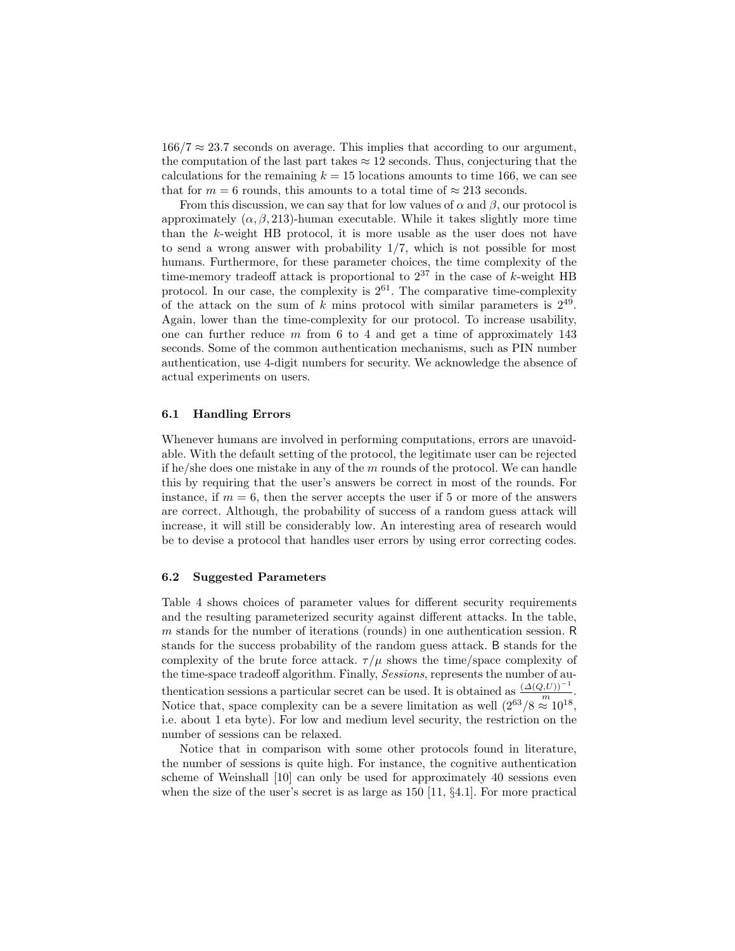$166/7 \approx 23.7$  seconds on average. This implies that according to our argument, the computation of the last part takes  $\approx$  12 seconds. Thus, conjecturing that the calculations for the remaining  $k = 15$  locations amounts to time 166, we can see that for  $m = 6$  rounds, this amounts to a total time of  $\approx 213$  seconds.

From this discussion, we can say that for low values of  $\alpha$  and  $\beta$ , our protocol is approximately  $(\alpha, \beta, 213)$ -human executable. While it takes slightly more time than the k-weight HB protocol, it is more usable as the user does not have to send a wrong answer with probability 1/7, which is not possible for most humans. Furthermore, for these parameter choices, the time complexity of the time-memory tradeoff attack is proportional to  $2^{37}$  in the case of k-weight HB protocol. In our case, the complexity is  $2^{61}$ . The comparative time-complexity of the attack on the sum of k mins protocol with similar parameters is  $2^{49}$ . Again, lower than the time-complexity for our protocol. To increase usability, one can further reduce  $m$  from 6 to 4 and get a time of approximately 143 seconds. Some of the common authentication mechanisms, such as PIN number authentication, use 4-digit numbers for security. We acknowledge the absence of actual experiments on users.

## 6.1 Handling Errors

Whenever humans are involved in performing computations, errors are unavoidable. With the default setting of the protocol, the legitimate user can be rejected if he/she does one mistake in any of the  $m$  rounds of the protocol. We can handle this by requiring that the user's answers be correct in most of the rounds. For instance, if  $m = 6$ , then the server accepts the user if 5 or more of the answers are correct. Although, the probability of success of a random guess attack will increase, it will still be considerably low. An interesting area of research would be to devise a protocol that handles user errors by using error correcting codes.

#### 6.2 Suggested Parameters

Table 4 shows choices of parameter values for different security requirements and the resulting parameterized security against different attacks. In the table, m stands for the number of iterations (rounds) in one authentication session. R stands for the success probability of the random guess attack. B stands for the complexity of the brute force attack.  $\tau/\mu$  shows the time/space complexity of the time-space tradeoff algorithm. Finally, Sessions, represents the number of authentication sessions a particular secret can be used. It is obtained as  $\frac{(\Delta(Q,U))^{-1}}{m}$ . Notice that, space complexity can be a severe limitation as well  $(2^{63}/8 \approx 10^{18},$ i.e. about 1 eta byte). For low and medium level security, the restriction on the number of sessions can be relaxed.

Notice that in comparison with some other protocols found in literature, the number of sessions is quite high. For instance, the cognitive authentication scheme of Weinshall [10] can only be used for approximately 40 sessions even when the size of the user's secret is as large as 150 [11, §4.1]. For more practical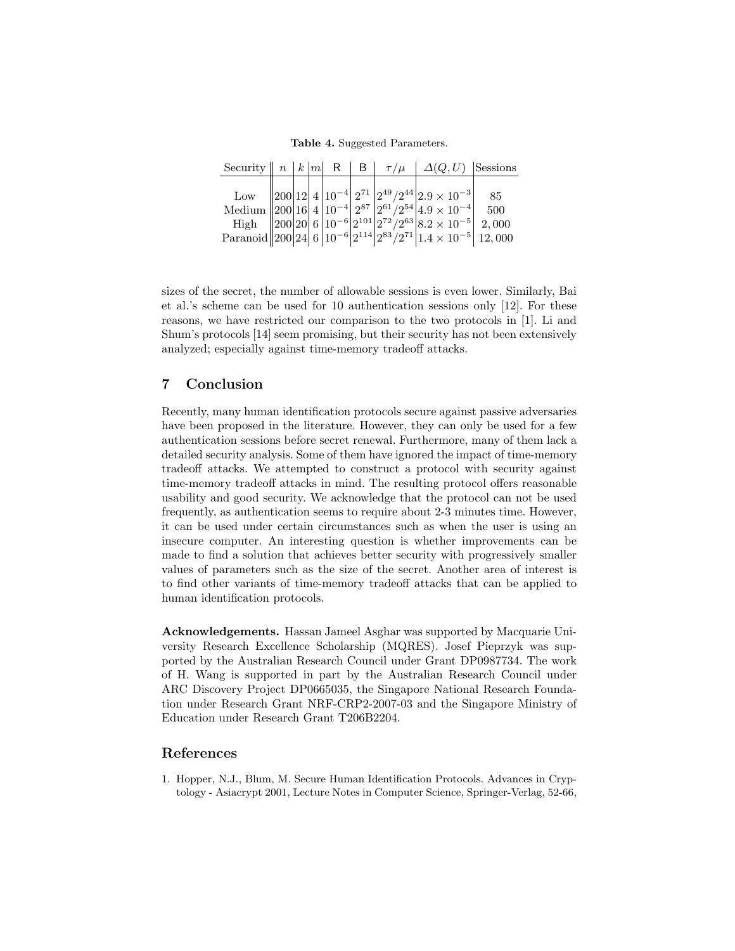Table 4. Suggested Parameters.

|  |  |  | Security $\  n \  k  m \  R \  B \  \tau / \mu \  \Delta(Q, U)$ Sessions                                                                                                                                                                                                                                              |  |
|--|--|--|-----------------------------------------------------------------------------------------------------------------------------------------------------------------------------------------------------------------------------------------------------------------------------------------------------------------------|--|
|  |  |  |                                                                                                                                                                                                                                                                                                                       |  |
|  |  |  |                                                                                                                                                                                                                                                                                                                       |  |
|  |  |  |                                                                                                                                                                                                                                                                                                                       |  |
|  |  |  |                                                                                                                                                                                                                                                                                                                       |  |
|  |  |  | Low $\begin{bmatrix} 200 & 12 & 4 & 10^{-4} & 2^{71} & 2^{49}/2^{44} & 2.9 \times 10^{-3} \\ 200 & 16 & 4 & 10^{-4} & 2^{87} & 2^{61}/2^{54} & 4.9 \times 10^{-4} & 500 \\ 200 & 20 & 6 & 10^{-6} & 2^{101} & 2^{72}/2^{63} & 8.2 \times 10^{-5} & 2,000 \\ 200 & 24 & 6 & 10^{-6} & 2^{114} & 2^{83}/2^{71} & 1.4 \$ |  |

sizes of the secret, the number of allowable sessions is even lower. Similarly, Bai et al.'s scheme can be used for 10 authentication sessions only [12]. For these reasons, we have restricted our comparison to the two protocols in [1]. Li and Shum's protocols [14] seem promising, but their security has not been extensively analyzed; especially against time-memory tradeoff attacks.

# 7 Conclusion

Recently, many human identification protocols secure against passive adversaries have been proposed in the literature. However, they can only be used for a few authentication sessions before secret renewal. Furthermore, many of them lack a detailed security analysis. Some of them have ignored the impact of time-memory tradeoff attacks. We attempted to construct a protocol with security against time-memory tradeoff attacks in mind. The resulting protocol offers reasonable usability and good security. We acknowledge that the protocol can not be used frequently, as authentication seems to require about 2-3 minutes time. However, it can be used under certain circumstances such as when the user is using an insecure computer. An interesting question is whether improvements can be made to find a solution that achieves better security with progressively smaller values of parameters such as the size of the secret. Another area of interest is to find other variants of time-memory tradeoff attacks that can be applied to human identification protocols.

Acknowledgements. Hassan Jameel Asghar was supported by Macquarie University Research Excellence Scholarship (MQRES). Josef Pieprzyk was supported by the Australian Research Council under Grant DP0987734. The work of H. Wang is supported in part by the Australian Research Council under ARC Discovery Project DP0665035, the Singapore National Research Foundation under Research Grant NRF-CRP2-2007-03 and the Singapore Ministry of Education under Research Grant T206B2204.

## References

1. Hopper, N.J., Blum, M. Secure Human Identification Protocols. Advances in Cryptology - Asiacrypt 2001, Lecture Notes in Computer Science, Springer-Verlag, 52-66,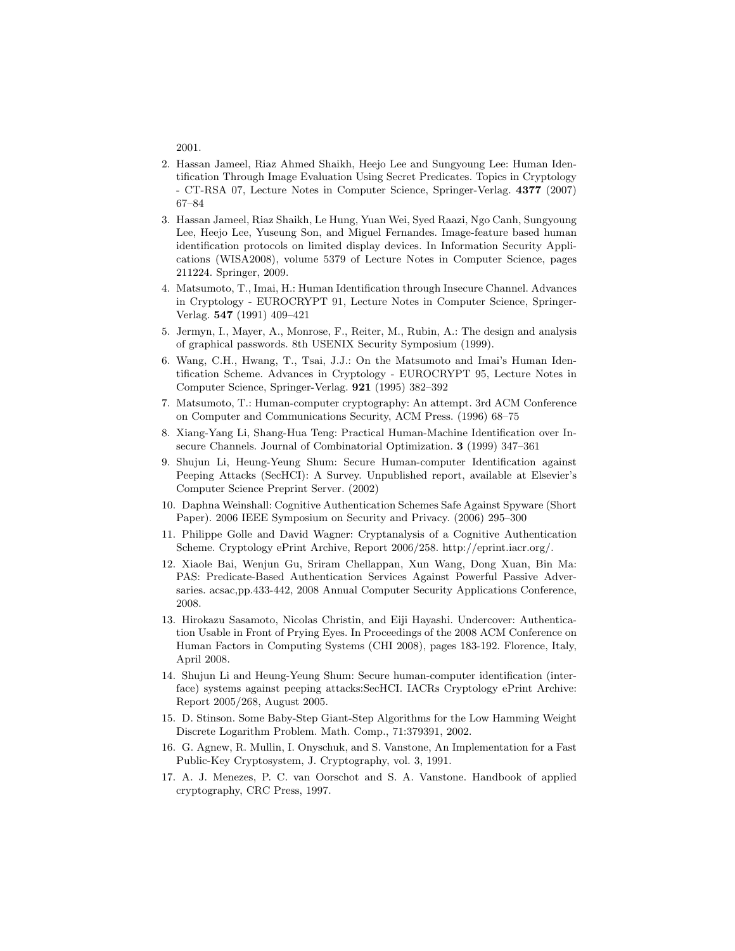2001.

- 2. Hassan Jameel, Riaz Ahmed Shaikh, Heejo Lee and Sungyoung Lee: Human Identification Through Image Evaluation Using Secret Predicates. Topics in Cryptology - CT-RSA 07, Lecture Notes in Computer Science, Springer-Verlag. 4377 (2007) 67–84
- 3. Hassan Jameel, Riaz Shaikh, Le Hung, Yuan Wei, Syed Raazi, Ngo Canh, Sungyoung Lee, Heejo Lee, Yuseung Son, and Miguel Fernandes. Image-feature based human identification protocols on limited display devices. In Information Security Applications (WISA2008), volume 5379 of Lecture Notes in Computer Science, pages 211224. Springer, 2009.
- 4. Matsumoto, T., Imai, H.: Human Identification through Insecure Channel. Advances in Cryptology - EUROCRYPT 91, Lecture Notes in Computer Science, Springer-Verlag. 547 (1991) 409–421
- 5. Jermyn, I., Mayer, A., Monrose, F., Reiter, M., Rubin, A.: The design and analysis of graphical passwords. 8th USENIX Security Symposium (1999).
- 6. Wang, C.H., Hwang, T., Tsai, J.J.: On the Matsumoto and Imai's Human Identification Scheme. Advances in Cryptology - EUROCRYPT 95, Lecture Notes in Computer Science, Springer-Verlag. 921 (1995) 382–392
- 7. Matsumoto, T.: Human-computer cryptography: An attempt. 3rd ACM Conference on Computer and Communications Security, ACM Press. (1996) 68–75
- 8. Xiang-Yang Li, Shang-Hua Teng: Practical Human-Machine Identification over Insecure Channels. Journal of Combinatorial Optimization. 3 (1999) 347–361
- 9. Shujun Li, Heung-Yeung Shum: Secure Human-computer Identification against Peeping Attacks (SecHCI): A Survey. Unpublished report, available at Elsevier's Computer Science Preprint Server. (2002)
- 10. Daphna Weinshall: Cognitive Authentication Schemes Safe Against Spyware (Short Paper). 2006 IEEE Symposium on Security and Privacy. (2006) 295–300
- 11. Philippe Golle and David Wagner: Cryptanalysis of a Cognitive Authentication Scheme. Cryptology ePrint Archive, Report 2006/258. http://eprint.iacr.org/.
- 12. Xiaole Bai, Wenjun Gu, Sriram Chellappan, Xun Wang, Dong Xuan, Bin Ma: PAS: Predicate-Based Authentication Services Against Powerful Passive Adversaries. acsac,pp.433-442, 2008 Annual Computer Security Applications Conference, 2008.
- 13. Hirokazu Sasamoto, Nicolas Christin, and Eiji Hayashi. Undercover: Authentication Usable in Front of Prying Eyes. In Proceedings of the 2008 ACM Conference on Human Factors in Computing Systems (CHI 2008), pages 183-192. Florence, Italy, April 2008.
- 14. Shujun Li and Heung-Yeung Shum: Secure human-computer identification (interface) systems against peeping attacks:SecHCI. IACRs Cryptology ePrint Archive: Report 2005/268, August 2005.
- 15. D. Stinson. Some Baby-Step Giant-Step Algorithms for the Low Hamming Weight Discrete Logarithm Problem. Math. Comp., 71:379391, 2002.
- 16. G. Agnew, R. Mullin, I. Onyschuk, and S. Vanstone, An Implementation for a Fast Public-Key Cryptosystem, J. Cryptography, vol. 3, 1991.
- 17. A. J. Menezes, P. C. van Oorschot and S. A. Vanstone. Handbook of applied cryptography, CRC Press, 1997.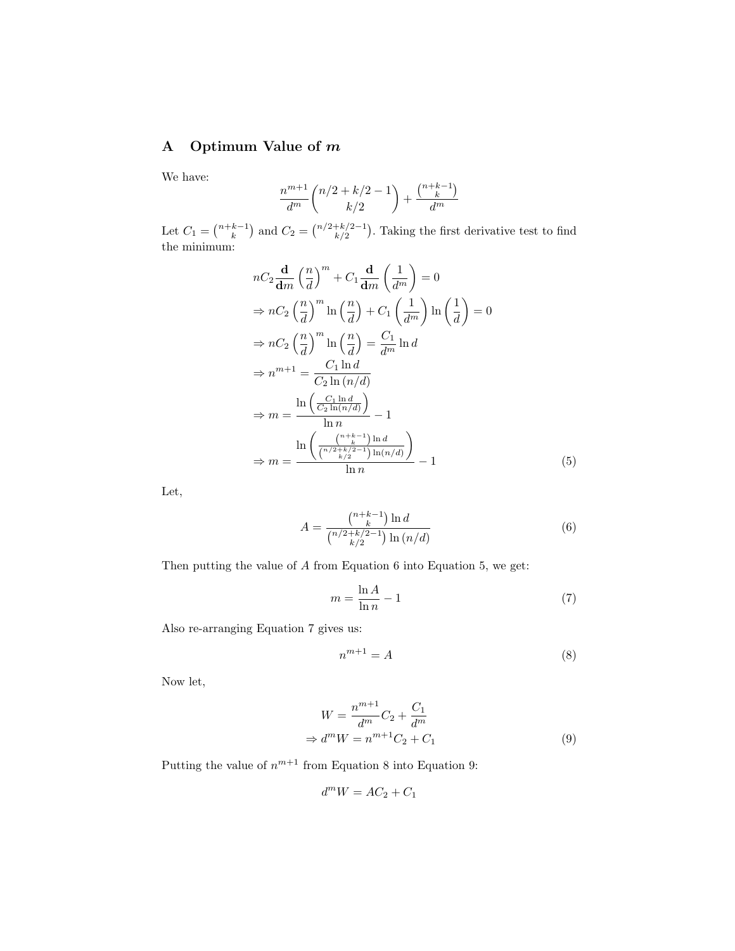# A Optimum Value of m

We have:

$$
\frac{n^{m+1}}{d^m} \binom{n/2 + k/2 - 1}{k/2} + \frac{\binom{n+k-1}{k}}{d^m}
$$

Let  $C_1 = \binom{n+k-1}{k}$  and  $C_2 = \binom{n/2+k/2-1}{k/2}$ . Taking the first derivative test to find the minimum:

$$
nC_2 \frac{\mathbf{d}}{\mathbf{d}m} \left(\frac{n}{d}\right)^m + C_1 \frac{\mathbf{d}}{\mathbf{d}m} \left(\frac{1}{d^m}\right) = 0
$$
  
\n
$$
\Rightarrow nC_2 \left(\frac{n}{d}\right)^m \ln\left(\frac{n}{d}\right) + C_1 \left(\frac{1}{d^m}\right) \ln\left(\frac{1}{d}\right) = 0
$$
  
\n
$$
\Rightarrow nC_2 \left(\frac{n}{d}\right)^m \ln\left(\frac{n}{d}\right) = \frac{C_1}{d^m} \ln d
$$
  
\n
$$
\Rightarrow n^{m+1} = \frac{C_1 \ln d}{C_2 \ln(n/d)}
$$
  
\n
$$
\Rightarrow m = \frac{\ln\left(\frac{C_1 \ln d}{C_2 \ln(n/d)}\right)}{\ln n} - 1
$$
  
\n
$$
\Rightarrow m = \frac{\ln\left(\frac{n+k-1}{n/2}\right) \ln(n/d)}{\ln n} - 1
$$
  
\n
$$
\Rightarrow m = \frac{\ln\left(\frac{n+k-1}{n/2}\right) \ln(n/d)}{\ln n} - 1
$$
 (5)

Let,

$$
A = \frac{\binom{n+k-1}{k}\ln d}{\binom{n/2+k/2-1}{k/2}\ln\left(\frac{n}{d}\right)}\tag{6}
$$

Then putting the value of  $A$  from Equation 6 into Equation 5, we get:

$$
m = \frac{\ln A}{\ln n} - 1\tag{7}
$$

Also re-arranging Equation 7 gives us:

$$
n^{m+1} = A \tag{8}
$$

Now let,

$$
W = \frac{n^{m+1}}{d^m}C_2 + \frac{C_1}{d^m}
$$
  
\n
$$
\Rightarrow d^m W = n^{m+1}C_2 + C_1
$$
\n(9)

Putting the value of  $n^{m+1}$  from Equation 8 into Equation 9:

$$
d^m W = AC_2 + C_1
$$